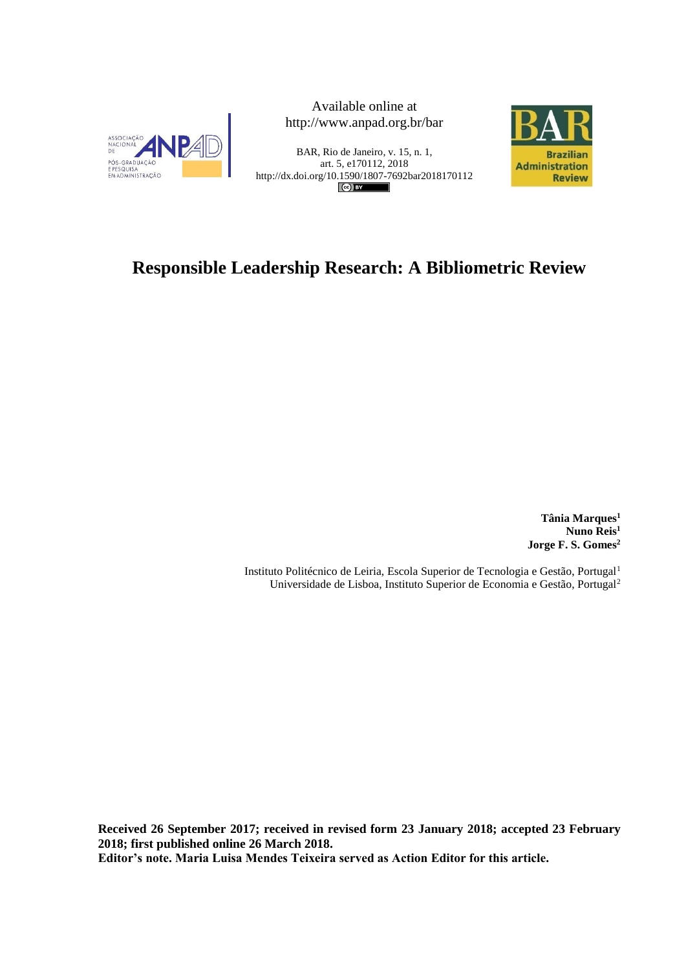

Available online at http://www.anpad.org.br/bar

BAR, Rio de Janeiro, v. 15, n. 1, art. 5, e170112, 2018 http://dx.doi.org/10.1590/1807-7692bar2018170112



# **Responsible Leadership Research: A Bibliometric Review**

**Tânia Marques<sup>1</sup> Nuno Reis<sup>1</sup> Jorge F. S. Gomes<sup>2</sup>**

Instituto Politécnico de Leiria, Escola Superior de Tecnologia e Gestão, Portugal<sup>1</sup> Universidade de Lisboa, Instituto Superior de Economia e Gestão, Portugal<sup>2</sup>

**Received 26 September 2017; received in revised form 23 January 2018; accepted 23 February 2018; first published online 26 March 2018. Editor's note. Maria Luisa Mendes Teixeira served as Action Editor for this article.**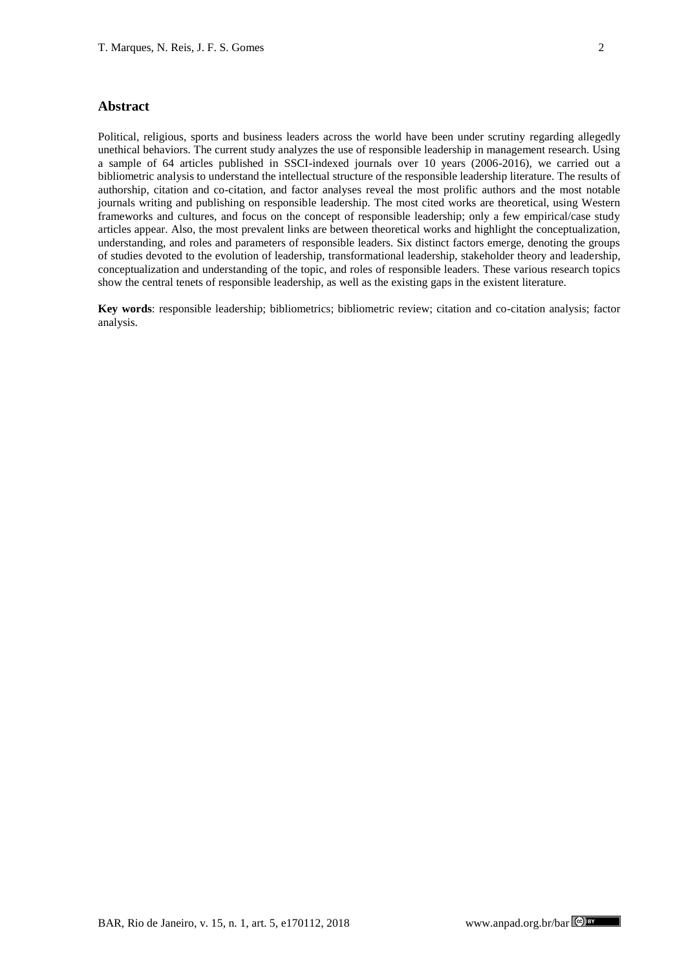#### **Abstract**

Political, religious, sports and business leaders across the world have been under scrutiny regarding allegedly unethical behaviors. The current study analyzes the use of responsible leadership in management research. Using a sample of 64 articles published in SSCI-indexed journals over 10 years (2006-2016), we carried out a bibliometric analysis to understand the intellectual structure of the responsible leadership literature. The results of authorship, citation and co-citation, and factor analyses reveal the most prolific authors and the most notable journals writing and publishing on responsible leadership. The most cited works are theoretical, using Western frameworks and cultures, and focus on the concept of responsible leadership; only a few empirical/case study articles appear. Also, the most prevalent links are between theoretical works and highlight the conceptualization, understanding, and roles and parameters of responsible leaders. Six distinct factors emerge, denoting the groups of studies devoted to the evolution of leadership, transformational leadership, stakeholder theory and leadership, conceptualization and understanding of the topic, and roles of responsible leaders. These various research topics show the central tenets of responsible leadership, as well as the existing gaps in the existent literature.

**Key words**: responsible leadership; bibliometrics; bibliometric review; citation and co-citation analysis; factor analysis.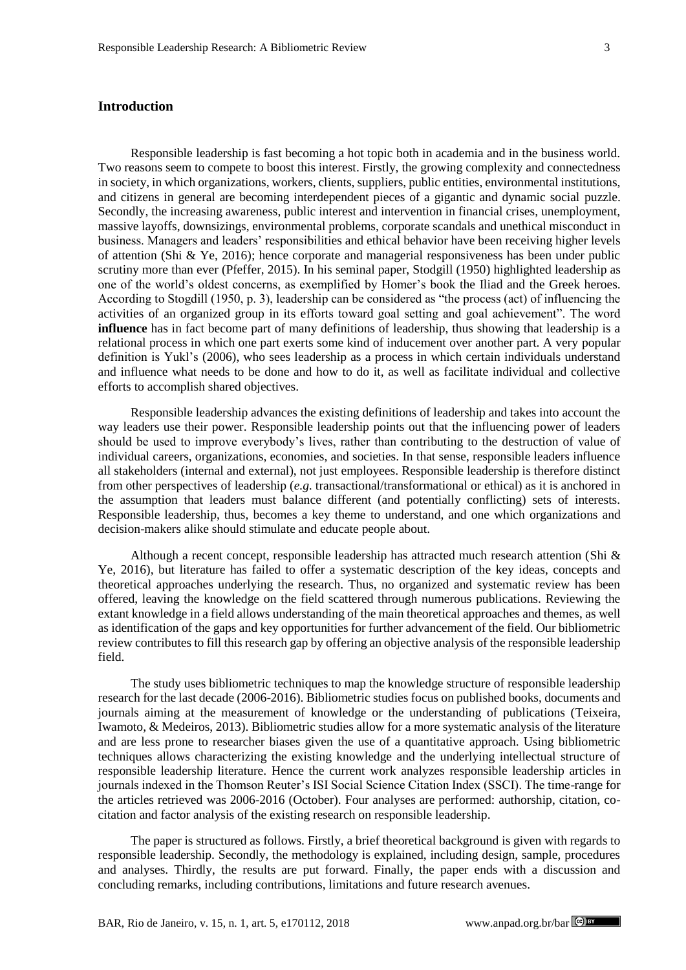## **Introduction**

Responsible leadership is fast becoming a hot topic both in academia and in the business world. Two reasons seem to compete to boost this interest. Firstly, the growing complexity and connectedness in society, in which organizations, workers, clients, suppliers, public entities, environmental institutions, and citizens in general are becoming interdependent pieces of a gigantic and dynamic social puzzle. Secondly, the increasing awareness, public interest and intervention in financial crises, unemployment, massive layoffs, downsizings, environmental problems, corporate scandals and unethical misconduct in business. Managers and leaders' responsibilities and ethical behavior have been receiving higher levels of attention (Shi & Ye, 2016); hence corporate and managerial responsiveness has been under public scrutiny more than ever (Pfeffer, 2015). In his seminal paper, Stodgill (1950) highlighted leadership as one of the world's oldest concerns, as exemplified by Homer's book the Iliad and the Greek heroes. According to Stogdill (1950, p. 3), leadership can be considered as "the process (act) of influencing the activities of an organized group in its efforts toward goal setting and goal achievement". The word **influence** has in fact become part of many definitions of leadership, thus showing that leadership is a relational process in which one part exerts some kind of inducement over another part. A very popular definition is Yukl's (2006), who sees leadership as a process in which certain individuals understand and influence what needs to be done and how to do it, as well as facilitate individual and collective efforts to accomplish shared objectives.

Responsible leadership advances the existing definitions of leadership and takes into account the way leaders use their power. Responsible leadership points out that the influencing power of leaders should be used to improve everybody's lives, rather than contributing to the destruction of value of individual careers, organizations, economies, and societies. In that sense, responsible leaders influence all stakeholders (internal and external), not just employees. Responsible leadership is therefore distinct from other perspectives of leadership (*e.g.* transactional/transformational or ethical) as it is anchored in the assumption that leaders must balance different (and potentially conflicting) sets of interests. Responsible leadership, thus, becomes a key theme to understand, and one which organizations and decision-makers alike should stimulate and educate people about.

Although a recent concept, responsible leadership has attracted much research attention (Shi & Ye, 2016), but literature has failed to offer a systematic description of the key ideas, concepts and theoretical approaches underlying the research. Thus, no organized and systematic review has been offered, leaving the knowledge on the field scattered through numerous publications. Reviewing the extant knowledge in a field allows understanding of the main theoretical approaches and themes, as well as identification of the gaps and key opportunities for further advancement of the field. Our bibliometric review contributes to fill this research gap by offering an objective analysis of the responsible leadership field.

The study uses bibliometric techniques to map the knowledge structure of responsible leadership research for the last decade (2006-2016). Bibliometric studies focus on published books, documents and journals aiming at the measurement of knowledge or the understanding of publications (Teixeira, Iwamoto, & Medeiros, 2013). Bibliometric studies allow for a more systematic analysis of the literature and are less prone to researcher biases given the use of a quantitative approach. Using bibliometric techniques allows characterizing the existing knowledge and the underlying intellectual structure of responsible leadership literature. Hence the current work analyzes responsible leadership articles in journals indexed in the Thomson Reuter's ISI Social Science Citation Index (SSCI). The time-range for the articles retrieved was 2006-2016 (October). Four analyses are performed: authorship, citation, cocitation and factor analysis of the existing research on responsible leadership.

The paper is structured as follows. Firstly, a brief theoretical background is given with regards to responsible leadership. Secondly, the methodology is explained, including design, sample, procedures and analyses. Thirdly, the results are put forward. Finally, the paper ends with a discussion and concluding remarks, including contributions, limitations and future research avenues.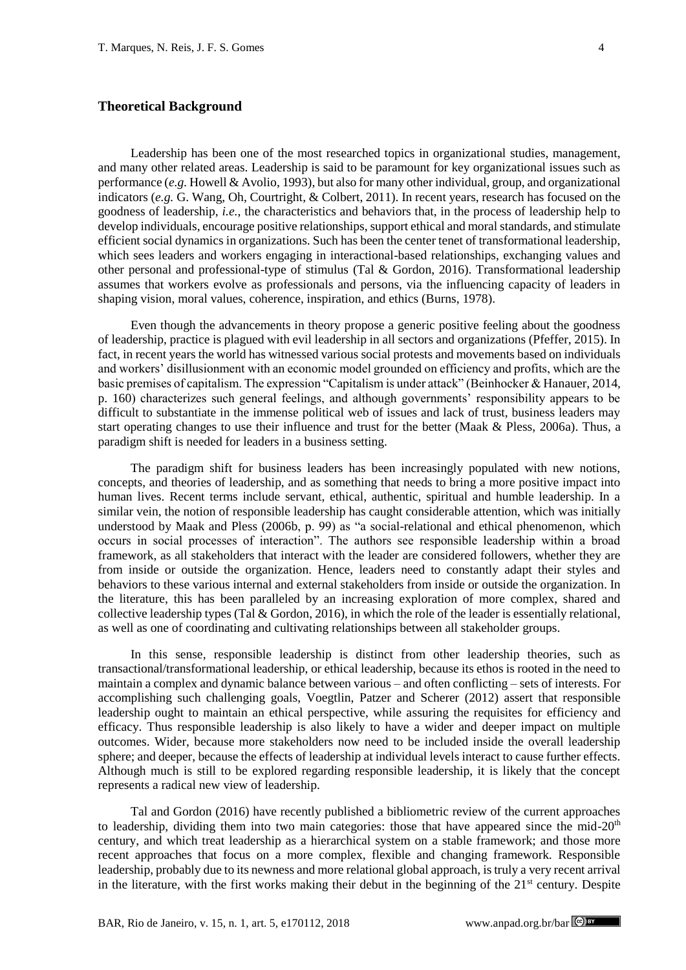# **Theoretical Background**

Leadership has been one of the most researched topics in organizational studies, management, and many other related areas. Leadership is said to be paramount for key organizational issues such as performance (*e.g.* Howell & Avolio, 1993), but also for many other individual, group, and organizational indicators (*e.g.* G. Wang, Oh, Courtright, & Colbert, 2011). In recent years, research has focused on the goodness of leadership, *i.e.*, the characteristics and behaviors that, in the process of leadership help to develop individuals, encourage positive relationships, support ethical and moral standards, and stimulate efficient social dynamics in organizations. Such has been the center tenet of transformational leadership, which sees leaders and workers engaging in interactional-based relationships, exchanging values and other personal and professional-type of stimulus (Tal & Gordon, 2016). Transformational leadership assumes that workers evolve as professionals and persons, via the influencing capacity of leaders in shaping vision, moral values, coherence, inspiration, and ethics (Burns, 1978).

Even though the advancements in theory propose a generic positive feeling about the goodness of leadership, practice is plagued with evil leadership in all sectors and organizations (Pfeffer, 2015). In fact, in recent years the world has witnessed various social protests and movements based on individuals and workers' disillusionment with an economic model grounded on efficiency and profits, which are the basic premises of capitalism. The expression "Capitalism is under attack" (Beinhocker & Hanauer, 2014, p. 160) characterizes such general feelings, and although governments' responsibility appears to be difficult to substantiate in the immense political web of issues and lack of trust, business leaders may start operating changes to use their influence and trust for the better (Maak & Pless, 2006a). Thus, a paradigm shift is needed for leaders in a business setting.

The paradigm shift for business leaders has been increasingly populated with new notions, concepts, and theories of leadership, and as something that needs to bring a more positive impact into human lives. Recent terms include servant, ethical, authentic, spiritual and humble leadership. In a similar vein, the notion of responsible leadership has caught considerable attention, which was initially understood by Maak and Pless (2006b, p. 99) as "a social-relational and ethical phenomenon, which occurs in social processes of interaction". The authors see responsible leadership within a broad framework, as all stakeholders that interact with the leader are considered followers, whether they are from inside or outside the organization. Hence, leaders need to constantly adapt their styles and behaviors to these various internal and external stakeholders from inside or outside the organization. In the literature, this has been paralleled by an increasing exploration of more complex, shared and collective leadership types (Tal & Gordon, 2016), in which the role of the leader is essentially relational, as well as one of coordinating and cultivating relationships between all stakeholder groups.

In this sense, responsible leadership is distinct from other leadership theories, such as transactional/transformational leadership, or ethical leadership, because its ethos is rooted in the need to maintain a complex and dynamic balance between various – and often conflicting – sets of interests. For accomplishing such challenging goals, Voegtlin, Patzer and Scherer (2012) assert that responsible leadership ought to maintain an ethical perspective, while assuring the requisites for efficiency and efficacy. Thus responsible leadership is also likely to have a wider and deeper impact on multiple outcomes. Wider, because more stakeholders now need to be included inside the overall leadership sphere; and deeper, because the effects of leadership at individual levels interact to cause further effects. Although much is still to be explored regarding responsible leadership, it is likely that the concept represents a radical new view of leadership.

Tal and Gordon (2016) have recently published a bibliometric review of the current approaches to leadership, dividing them into two main categories: those that have appeared since the mid-20<sup>th</sup> century, and which treat leadership as a hierarchical system on a stable framework; and those more recent approaches that focus on a more complex, flexible and changing framework. Responsible leadership, probably due to its newness and more relational global approach, is truly a very recent arrival in the literature, with the first works making their debut in the beginning of the  $21<sup>st</sup>$  century. Despite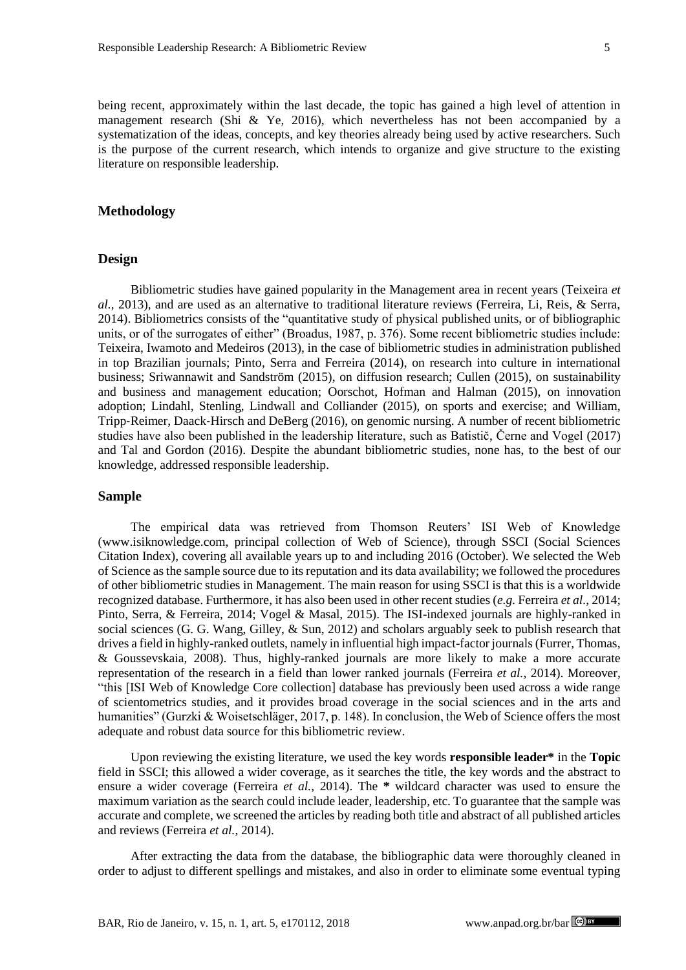being recent, approximately within the last decade, the topic has gained a high level of attention in management research (Shi & Ye, 2016), which nevertheless has not been accompanied by a systematization of the ideas, concepts, and key theories already being used by active researchers. Such is the purpose of the current research, which intends to organize and give structure to the existing literature on responsible leadership.

#### **Methodology**

### **Design**

Bibliometric studies have gained popularity in the Management area in recent years (Teixeira *et al.*, 2013), and are used as an alternative to traditional literature reviews (Ferreira, Li, Reis, & Serra, 2014). Bibliometrics consists of the "quantitative study of physical published units, or of bibliographic units, or of the surrogates of either" (Broadus, 1987, p. 376). Some recent bibliometric studies include: Teixeira, Iwamoto and Medeiros (2013), in the case of bibliometric studies in administration published in top Brazilian journals; Pinto, Serra and Ferreira (2014), on research into culture in international business; Sriwannawit and Sandström (2015), on diffusion research; Cullen (2015), on sustainability and business and management education; Oorschot, Hofman and Halman (2015), on innovation adoption; Lindahl, Stenling, Lindwall and Colliander (2015), on sports and exercise; and William, Tripp‐Reimer, Daack‐Hirsch and DeBerg (2016), on genomic nursing. A number of recent bibliometric studies have also been published in the leadership literature, such as Batistič, Černe and Vogel (2017) and Tal and Gordon (2016). Despite the abundant bibliometric studies, none has, to the best of our knowledge, addressed responsible leadership.

#### **Sample**

The empirical data was retrieved from Thomson Reuters' ISI Web of Knowledge (www.isiknowledge.com, principal collection of Web of Science), through SSCI (Social Sciences Citation Index), covering all available years up to and including 2016 (October). We selected the Web of Science as the sample source due to its reputation and its data availability; we followed the procedures of other bibliometric studies in Management. The main reason for using SSCI is that this is a worldwide recognized database. Furthermore, it has also been used in other recent studies (*e.g.* Ferreira *et al.*, 2014; Pinto, Serra, & Ferreira, 2014; Vogel & Masal, 2015). The ISI-indexed journals are highly-ranked in social sciences (G. G. Wang, Gilley, & Sun, 2012) and scholars arguably seek to publish research that drives a field in highly-ranked outlets, namely in influential high impact-factor journals (Furrer, Thomas, & Goussevskaia, 2008). Thus, highly-ranked journals are more likely to make a more accurate representation of the research in a field than lower ranked journals (Ferreira *et al.*, 2014). Moreover, "this [ISI Web of Knowledge Core collection] database has previously been used across a wide range of scientometrics studies, and it provides broad coverage in the social sciences and in the arts and humanities" (Gurzki & Woisetschläger, 2017, p. 148). In conclusion, the Web of Science offers the most adequate and robust data source for this bibliometric review.

Upon reviewing the existing literature, we used the key words **responsible leader\*** in the **Topic** field in SSCI; this allowed a wider coverage, as it searches the title, the key words and the abstract to ensure a wider coverage (Ferreira *et al.*, 2014). The **\*** wildcard character was used to ensure the maximum variation as the search could include leader, leadership, etc. To guarantee that the sample was accurate and complete, we screened the articles by reading both title and abstract of all published articles and reviews (Ferreira *et al.*, 2014).

After extracting the data from the database, the bibliographic data were thoroughly cleaned in order to adjust to different spellings and mistakes, and also in order to eliminate some eventual typing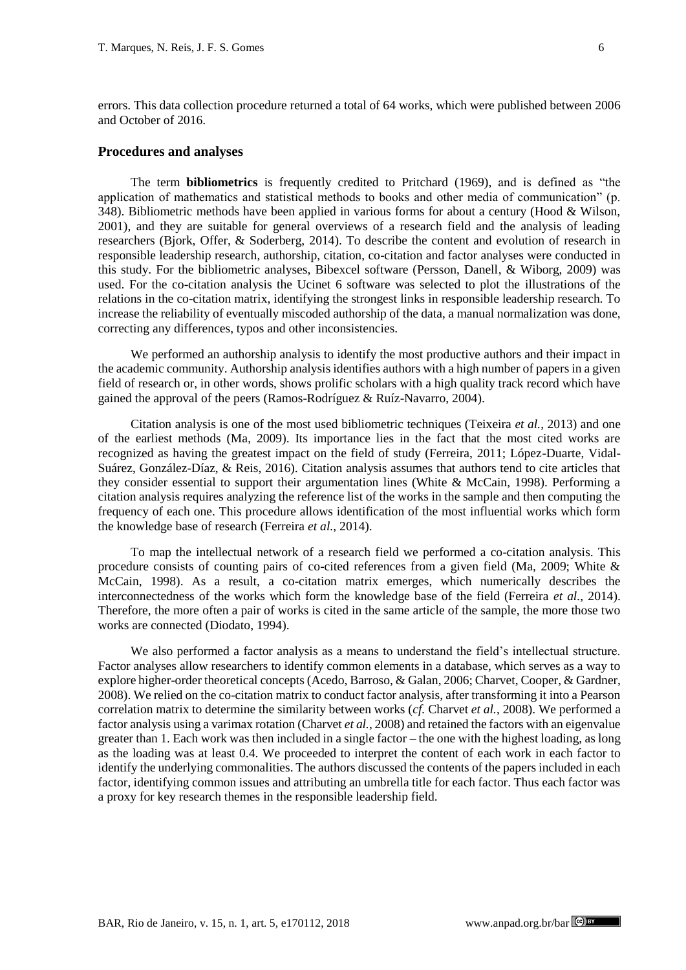errors. This data collection procedure returned a total of 64 works, which were published between 2006 and October of 2016.

#### **Procedures and analyses**

The term **bibliometrics** is frequently credited to Pritchard (1969), and is defined as "the application of mathematics and statistical methods to books and other media of communication" (p. 348). Bibliometric methods have been applied in various forms for about a century (Hood & Wilson, 2001), and they are suitable for general overviews of a research field and the analysis of leading researchers (Bjork, Offer, & Soderberg, 2014). To describe the content and evolution of research in responsible leadership research, authorship, citation, co-citation and factor analyses were conducted in this study. For the bibliometric analyses, Bibexcel software (Persson, Danell, & Wiborg, 2009) was used. For the co-citation analysis the Ucinet 6 software was selected to plot the illustrations of the relations in the co-citation matrix, identifying the strongest links in responsible leadership research. To increase the reliability of eventually miscoded authorship of the data, a manual normalization was done, correcting any differences, typos and other inconsistencies.

We performed an authorship analysis to identify the most productive authors and their impact in the academic community. Authorship analysis identifies authors with a high number of papers in a given field of research or, in other words, shows prolific scholars with a high quality track record which have gained the approval of the peers (Ramos-Rodríguez & Ruíz-Navarro, 2004).

Citation analysis is one of the most used bibliometric techniques (Teixeira *et al.*, 2013) and one of the earliest methods (Ma, 2009). Its importance lies in the fact that the most cited works are recognized as having the greatest impact on the field of study (Ferreira, 2011; López-Duarte, Vidal-Suárez, González-Díaz, & Reis, 2016). Citation analysis assumes that authors tend to cite articles that they consider essential to support their argumentation lines (White & McCain, 1998). Performing a citation analysis requires analyzing the reference list of the works in the sample and then computing the frequency of each one. This procedure allows identification of the most influential works which form the knowledge base of research (Ferreira *et al.*, 2014).

To map the intellectual network of a research field we performed a co-citation analysis. This procedure consists of counting pairs of co-cited references from a given field (Ma, 2009; White & McCain, 1998). As a result, a co-citation matrix emerges, which numerically describes the interconnectedness of the works which form the knowledge base of the field (Ferreira *et al.*, 2014). Therefore, the more often a pair of works is cited in the same article of the sample, the more those two works are connected (Diodato, 1994).

We also performed a factor analysis as a means to understand the field's intellectual structure. Factor analyses allow researchers to identify common elements in a database, which serves as a way to explore higher-order theoretical concepts (Acedo, Barroso, & Galan, 2006; Charvet, Cooper, & Gardner, 2008). We relied on the co-citation matrix to conduct factor analysis, after transforming it into a Pearson correlation matrix to determine the similarity between works (*cf.* Charvet *et al.*, 2008). We performed a factor analysis using a varimax rotation (Charvet *et al.*, 2008) and retained the factors with an eigenvalue greater than 1. Each work was then included in a single factor – the one with the highest loading, as long as the loading was at least 0.4. We proceeded to interpret the content of each work in each factor to identify the underlying commonalities. The authors discussed the contents of the papers included in each factor, identifying common issues and attributing an umbrella title for each factor. Thus each factor was a proxy for key research themes in the responsible leadership field.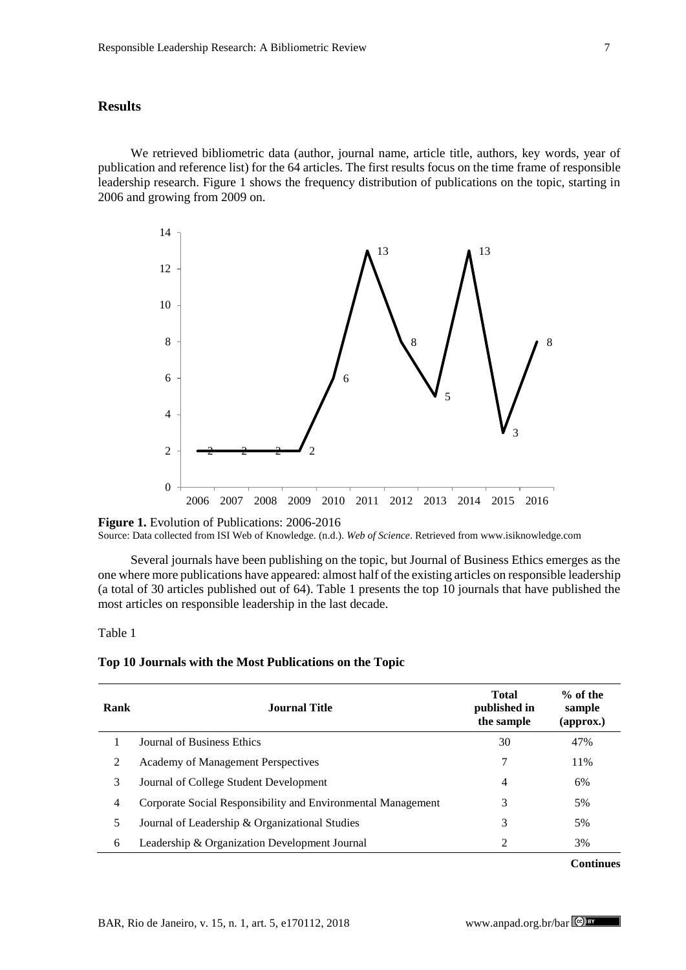### **Results**

We retrieved bibliometric data (author, journal name, article title, authors, key words, year of publication and reference list) for the 64 articles. The first results focus on the time frame of responsible leadership research. Figure 1 shows the frequency distribution of publications on the topic, starting in 2006 and growing from 2009 on.





Several journals have been publishing on the topic, but Journal of Business Ethics emerges as the one where more publications have appeared: almost half of the existing articles on responsible leadership (a total of 30 articles published out of 64). Table 1 presents the top 10 journals that have published the most articles on responsible leadership in the last decade.

Table 1

| Rank | Journal Title                                                | <b>Total</b><br>published in<br>the sample | $%$ of the<br>sample<br>(approx.) |
|------|--------------------------------------------------------------|--------------------------------------------|-----------------------------------|
|      | Journal of Business Ethics                                   | 30                                         | 47%                               |
| 2    | Academy of Management Perspectives                           | 7                                          | 11%                               |
| 3    | Journal of College Student Development                       | 4                                          | 6%                                |
| 4    | Corporate Social Responsibility and Environmental Management | 3                                          | 5%                                |
| 5    | Journal of Leadership & Organizational Studies               | 3                                          | 5%                                |
| 6    | Leadership & Organization Development Journal                | 2                                          | 3%                                |

#### **Top 10 Journals with the Most Publications on the Topic**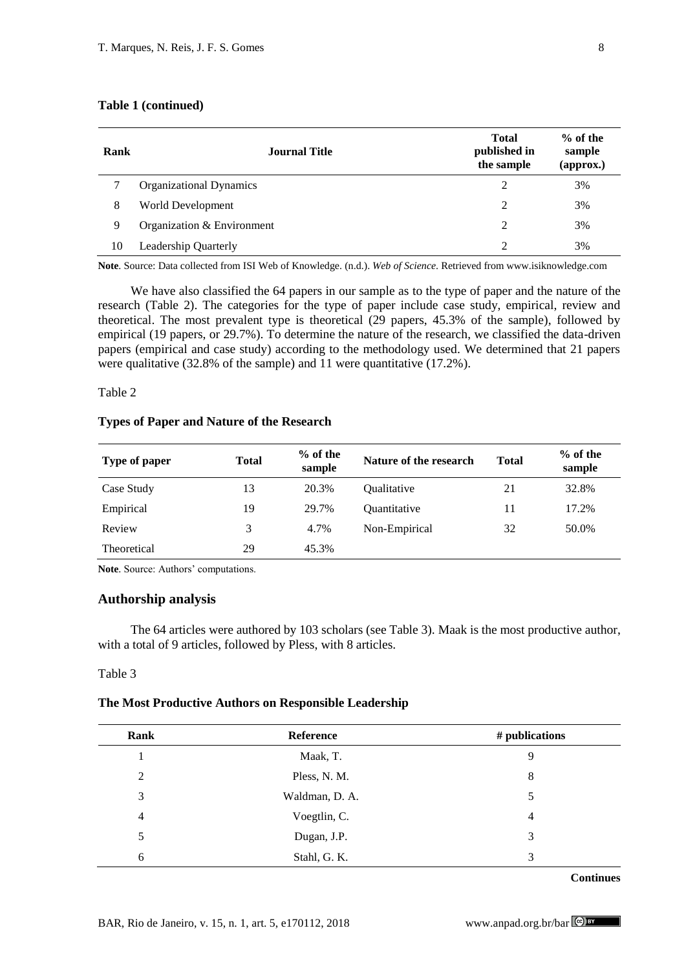| Rank | Journal Title                  | <b>Total</b><br>published in<br>the sample | $%$ of the<br>sample<br>(approx.) |
|------|--------------------------------|--------------------------------------------|-----------------------------------|
|      | <b>Organizational Dynamics</b> | 2                                          | 3%                                |
| 8    | World Development              | 2                                          | 3%                                |
| 9    | Organization & Environment     | 2                                          | 3%                                |
| 10   | Leadership Quarterly           | $\mathfrak{D}$                             | 3%                                |

**Note**. Source: Data collected from ISI Web of Knowledge. (n.d.). *Web of Science*. Retrieved from www.isiknowledge.com

We have also classified the 64 papers in our sample as to the type of paper and the nature of the research (Table 2). The categories for the type of paper include case study, empirical, review and theoretical. The most prevalent type is theoretical (29 papers, 45.3% of the sample), followed by empirical (19 papers, or 29.7%). To determine the nature of the research, we classified the data-driven papers (empirical and case study) according to the methodology used. We determined that 21 papers were qualitative (32.8% of the sample) and 11 were quantitative (17.2%).

#### Table 2

#### **Types of Paper and Nature of the Research**

| Type of paper | <b>Total</b> | $%$ of the<br>sample | Nature of the research    | <b>Total</b> | $%$ of the<br>sample |
|---------------|--------------|----------------------|---------------------------|--------------|----------------------|
| Case Study    | 13           | 20.3%                | <i><b>Oualitative</b></i> | 21           | 32.8%                |
| Empirical     | 19           | 29.7%                | <b>Ouantitative</b>       | 11           | 17.2%                |
| Review        | 3            | 4.7%                 | Non-Empirical             | 32           | 50.0%                |
| Theoretical   | 29           | 45.3%                |                           |              |                      |

**Note**. Source: Authors' computations.

#### **Authorship analysis**

The 64 articles were authored by 103 scholars (see Table 3). Maak is the most productive author, with a total of 9 articles, followed by Pless, with 8 articles.

## Table 3

#### **The Most Productive Authors on Responsible Leadership**

| Rank | Reference      | # publications |
|------|----------------|----------------|
|      | Maak, T.       | 9              |
| 2    | Pless, N. M.   | 8              |
| 3    | Waldman, D. A. | 5              |
| 4    | Voegtlin, C.   | 4              |
| 5    | Dugan, J.P.    | 3              |
| 6    | Stahl, G. K.   | 3              |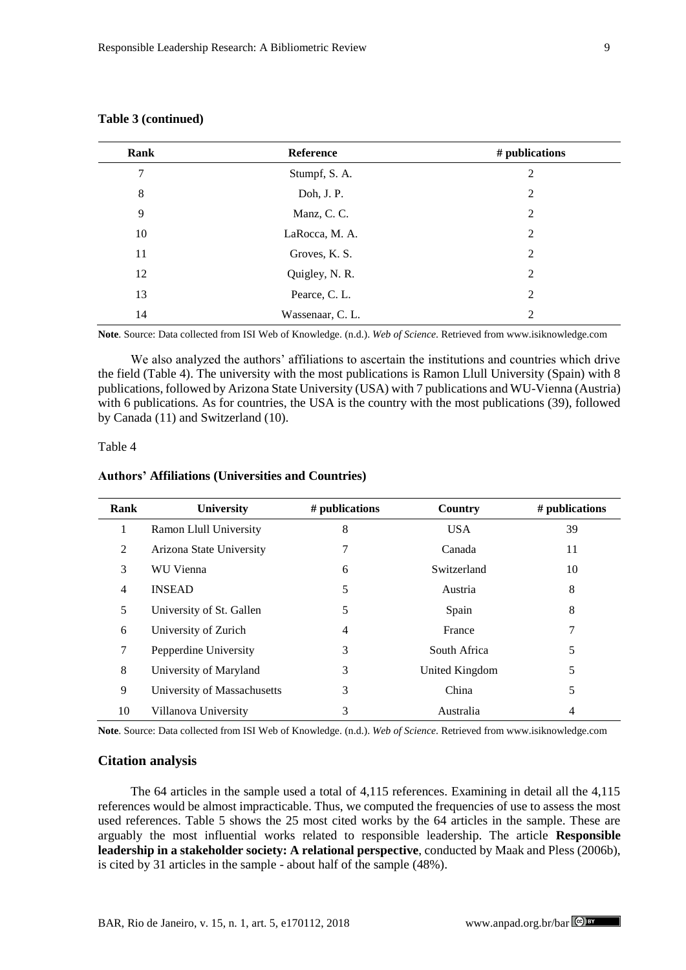| Rank | Reference        | # publications |
|------|------------------|----------------|
| 7    | Stumpf, S. A.    | 2              |
| 8    | Doh, J. P.       | 2              |
| 9    | Manz, C. C.      | 2              |
| 10   | LaRocca, M. A.   | 2              |
| 11   | Groves, K. S.    | 2              |
| 12   | Quigley, N. R.   | 2              |
| 13   | Pearce, C.L.     | 2              |
| 14   | Wassenaar, C. L. | $\overline{2}$ |

**Note**. Source: Data collected from ISI Web of Knowledge. (n.d.). *Web of Science*. Retrieved from www.isiknowledge.com

We also analyzed the authors' affiliations to ascertain the institutions and countries which drive the field (Table 4). The university with the most publications is Ramon Llull University (Spain) with 8 publications, followed by Arizona State University (USA) with 7 publications and WU-Vienna (Austria) with 6 publications. As for countries, the USA is the country with the most publications (39), followed by Canada (11) and Switzerland (10).

### Table 4

| Rank | <b>University</b>           | # publications | Country        | # publications |
|------|-----------------------------|----------------|----------------|----------------|
|      | Ramon Llull University      | 8              | <b>USA</b>     | 39             |
| 2    | Arizona State University    |                | Canada         | 11             |
| 3    | WU Vienna                   | 6              | Switzerland    | 10             |
| 4    | <b>INSEAD</b>               | 5              | Austria        | 8              |
| 5    | University of St. Gallen    | 5              | Spain          | 8              |
| 6    | University of Zurich        | 4              | France         | 7              |
| 7    | Pepperdine University       | 3              | South Africa   | 5              |
| 8    | University of Maryland      | 3              | United Kingdom | 5              |
| 9    | University of Massachusetts | 3              | China          | 5              |
| 10   | Villanova University        | 3              | Australia      | 4              |

### **Authors' Affiliations (Universities and Countries)**

**Note**. Source: Data collected from ISI Web of Knowledge. (n.d.). *Web of Science*. Retrieved from www.isiknowledge.com

#### **Citation analysis**

The 64 articles in the sample used a total of 4,115 references. Examining in detail all the 4,115 references would be almost impracticable. Thus, we computed the frequencies of use to assess the most used references. Table 5 shows the 25 most cited works by the 64 articles in the sample. These are arguably the most influential works related to responsible leadership. The article **Responsible leadership in a stakeholder society: A relational perspective**, conducted by Maak and Pless (2006b), is cited by 31 articles in the sample - about half of the sample (48%).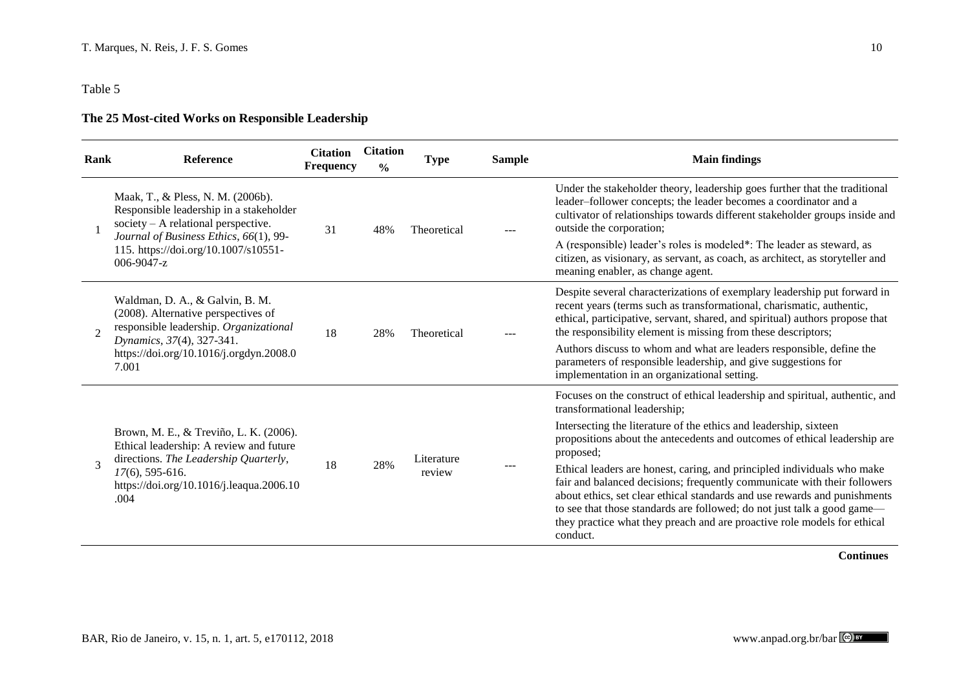Table 5

# **The 25 Most-cited Works on Responsible Leadership**

| Rank          | <b>Reference</b>                                                                                                                                                                                                            | <b>Citation</b><br><b>Frequency</b> | <b>Citation</b><br>$\frac{6}{9}$ | <b>Type</b>          | <b>Sample</b> | <b>Main findings</b>                                                                                                                                                                                                                                                                                                                                                                                |
|---------------|-----------------------------------------------------------------------------------------------------------------------------------------------------------------------------------------------------------------------------|-------------------------------------|----------------------------------|----------------------|---------------|-----------------------------------------------------------------------------------------------------------------------------------------------------------------------------------------------------------------------------------------------------------------------------------------------------------------------------------------------------------------------------------------------------|
|               | Maak, T., & Pless, N. M. (2006b).<br>Responsible leadership in a stakeholder<br>society $- A$ relational perspective.<br>Journal of Business Ethics, 66(1), 99-<br>115. https://doi.org/10.1007/s10551-<br>$006 - 9047 - z$ | 31                                  | 48%                              | Theoretical          |               | Under the stakeholder theory, leadership goes further that the traditional<br>leader-follower concepts; the leader becomes a coordinator and a<br>cultivator of relationships towards different stakeholder groups inside and<br>outside the corporation;                                                                                                                                           |
|               |                                                                                                                                                                                                                             |                                     |                                  |                      |               | A (responsible) leader's roles is modeled*: The leader as steward, as<br>citizen, as visionary, as servant, as coach, as architect, as storyteller and<br>meaning enabler, as change agent.                                                                                                                                                                                                         |
| $\mathcal{L}$ | Waldman, D. A., & Galvin, B. M.<br>(2008). Alternative perspectives of<br>responsible leadership. Organizational<br>Dynamics, 37(4), 327-341.<br>https://doi.org/10.1016/j.orgdyn.2008.0<br>7.001                           | 18                                  | 28%                              | Theoretical          |               | Despite several characterizations of exemplary leadership put forward in<br>recent years (terms such as transformational, charismatic, authentic,<br>ethical, participative, servant, shared, and spiritual) authors propose that<br>the responsibility element is missing from these descriptors;                                                                                                  |
|               |                                                                                                                                                                                                                             |                                     |                                  |                      |               | Authors discuss to whom and what are leaders responsible, define the<br>parameters of responsible leadership, and give suggestions for<br>implementation in an organizational setting.                                                                                                                                                                                                              |
|               |                                                                                                                                                                                                                             |                                     |                                  |                      |               | Focuses on the construct of ethical leadership and spiritual, authentic, and<br>transformational leadership;                                                                                                                                                                                                                                                                                        |
|               | Brown, M. E., & Treviño, L. K. (2006).<br>Ethical leadership: A review and future<br>directions. The Leadership Quarterly,<br>$17(6)$ , 595-616.<br>https://doi.org/10.1016/j.leaqua.2006.10<br>.004                        |                                     |                                  |                      |               | Intersecting the literature of the ethics and leadership, sixteen<br>propositions about the antecedents and outcomes of ethical leadership are<br>proposed;                                                                                                                                                                                                                                         |
| $\mathcal{E}$ |                                                                                                                                                                                                                             | 18                                  |                                  | Literature<br>review | ---           | Ethical leaders are honest, caring, and principled individuals who make<br>fair and balanced decisions; frequently communicate with their followers<br>about ethics, set clear ethical standards and use rewards and punishments<br>to see that those standards are followed; do not just talk a good game-<br>they practice what they preach and are proactive role models for ethical<br>conduct. |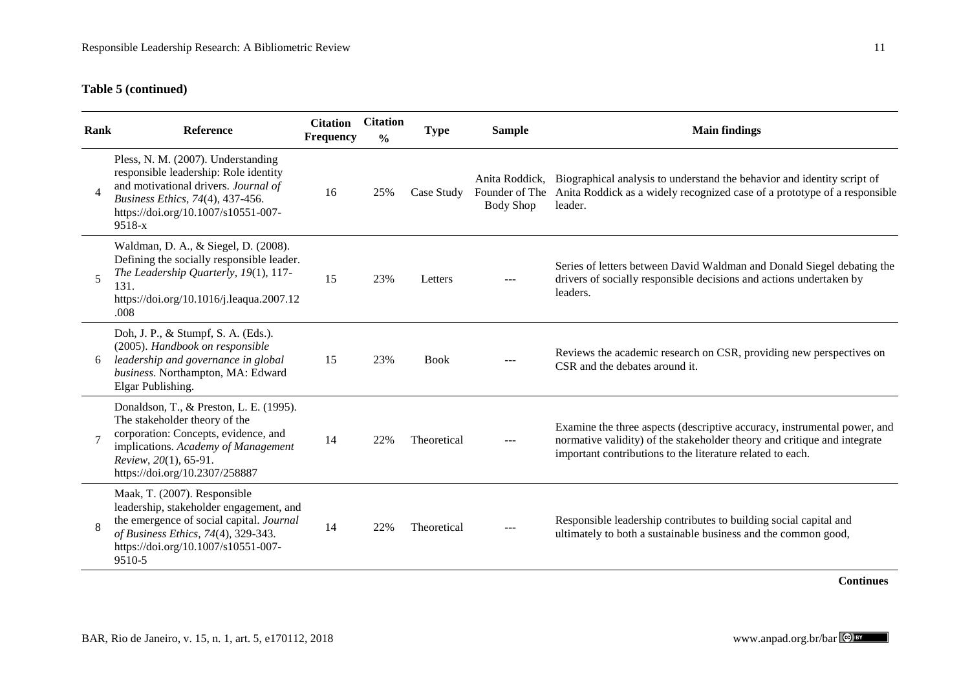| Rank           | <b>Reference</b>                                                                                                                                                                                                   | <b>Citation</b><br><b>Frequency</b> | <b>Citation</b><br>$\frac{0}{0}$ | <b>Type</b> | <b>Sample</b>                                        | <b>Main findings</b>                                                                                                                                                                                               |
|----------------|--------------------------------------------------------------------------------------------------------------------------------------------------------------------------------------------------------------------|-------------------------------------|----------------------------------|-------------|------------------------------------------------------|--------------------------------------------------------------------------------------------------------------------------------------------------------------------------------------------------------------------|
| $\overline{4}$ | Pless, N. M. (2007). Understanding<br>responsible leadership: Role identity<br>and motivational drivers. Journal of<br>Business Ethics, 74(4), 437-456.<br>https://doi.org/10.1007/s10551-007-<br>9518-x           | 16                                  | 25%                              | Case Study  | Anita Roddick,<br>Founder of The<br><b>Body Shop</b> | Biographical analysis to understand the behavior and identity script of<br>Anita Roddick as a widely recognized case of a prototype of a responsible<br>leader.                                                    |
| 5              | Waldman, D. A., & Siegel, D. (2008).<br>Defining the socially responsible leader.<br>The Leadership Quarterly, 19(1), 117-<br>131.<br>https://doi.org/10.1016/j.leaqua.2007.12<br>.008                             | 15                                  | 23%                              | Letters     | ---                                                  | Series of letters between David Waldman and Donald Siegel debating the<br>drivers of socially responsible decisions and actions undertaken by<br>leaders.                                                          |
| 6              | Doh, J. P., & Stumpf, S. A. (Eds.).<br>(2005). Handbook on responsible<br>leadership and governance in global<br>business. Northampton, MA: Edward<br>Elgar Publishing.                                            | 15                                  | 23%                              | <b>Book</b> |                                                      | Reviews the academic research on CSR, providing new perspectives on<br>CSR and the debates around it.                                                                                                              |
| $\overline{7}$ | Donaldson, T., & Preston, L. E. (1995).<br>The stakeholder theory of the<br>corporation: Concepts, evidence, and<br>implications. Academy of Management<br>Review, 20(1), 65-91.<br>https://doi.org/10.2307/258887 | 14                                  | 22%                              | Theoretical |                                                      | Examine the three aspects (descriptive accuracy, instrumental power, and<br>normative validity) of the stakeholder theory and critique and integrate<br>important contributions to the literature related to each. |
| 8              | Maak, T. (2007). Responsible<br>leadership, stakeholder engagement, and<br>the emergence of social capital. Journal<br>of Business Ethics, 74(4), 329-343.<br>https://doi.org/10.1007/s10551-007-<br>9510-5        | 14                                  | 22%                              | Theoretical |                                                      | Responsible leadership contributes to building social capital and<br>ultimately to both a sustainable business and the common good,                                                                                |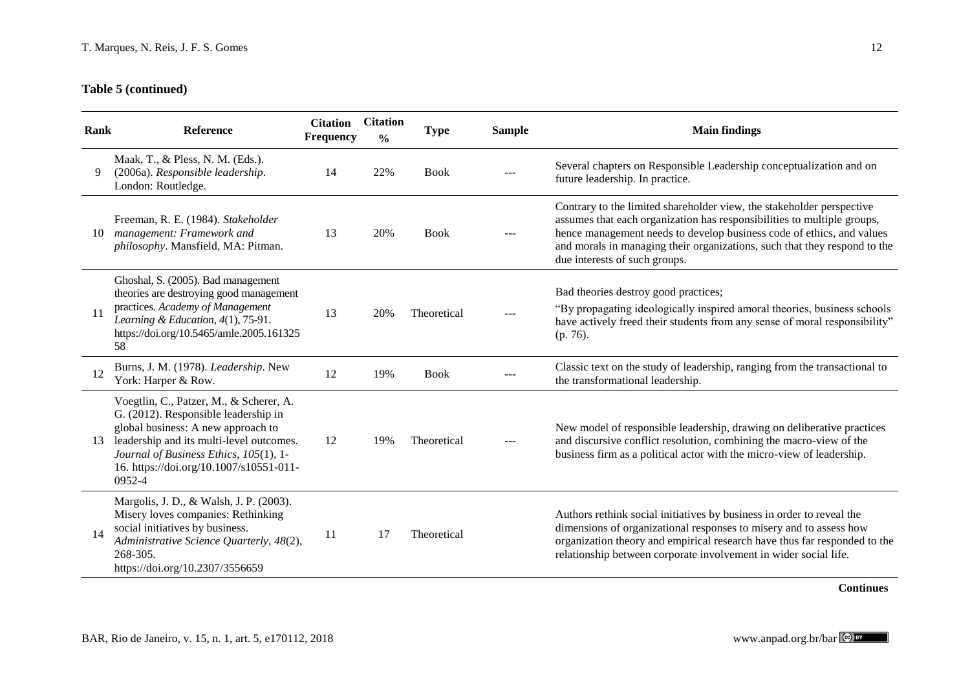| Rank | Reference                                                                                                                                                                                                                                                        | <b>Citation</b><br>Frequency | <b>Citation</b><br>$\frac{6}{6}$ | <b>Type</b> | <b>Sample</b> | <b>Main findings</b>                                                                                                                                                                                                                                                                                                                    |
|------|------------------------------------------------------------------------------------------------------------------------------------------------------------------------------------------------------------------------------------------------------------------|------------------------------|----------------------------------|-------------|---------------|-----------------------------------------------------------------------------------------------------------------------------------------------------------------------------------------------------------------------------------------------------------------------------------------------------------------------------------------|
| 9    | Maak, T., & Pless, N. M. (Eds.).<br>(2006a). Responsible leadership.<br>London: Routledge.                                                                                                                                                                       | 14                           | 22%                              | <b>Book</b> |               | Several chapters on Responsible Leadership conceptualization and on<br>future leadership. In practice.                                                                                                                                                                                                                                  |
| 10   | Freeman, R. E. (1984). Stakeholder<br>management: Framework and<br>philosophy. Mansfield, MA: Pitman.                                                                                                                                                            | 13                           | 20%                              | <b>Book</b> | ---           | Contrary to the limited shareholder view, the stakeholder perspective<br>assumes that each organization has responsibilities to multiple groups,<br>hence management needs to develop business code of ethics, and values<br>and morals in managing their organizations, such that they respond to the<br>due interests of such groups. |
| 11   | Ghoshal, S. (2005). Bad management<br>theories are destroying good management<br>practices. Academy of Management<br>Learning & Education, 4(1), 75-91.<br>https://doi.org/10.5465/amle.2005.161325<br>58                                                        | 13                           | 20%                              | Theoretical |               | Bad theories destroy good practices;<br>"By propagating ideologically inspired amoral theories, business schools<br>have actively freed their students from any sense of moral responsibility"<br>$(p. 76)$ .                                                                                                                           |
| 12   | Burns, J. M. (1978). Leadership. New<br>York: Harper & Row.                                                                                                                                                                                                      | 12                           | 19%                              | <b>Book</b> |               | Classic text on the study of leadership, ranging from the transactional to<br>the transformational leadership.                                                                                                                                                                                                                          |
| 13   | Voegtlin, C., Patzer, M., & Scherer, A.<br>G. (2012). Responsible leadership in<br>global business: A new approach to<br>leadership and its multi-level outcomes.<br>Journal of Business Ethics, 105(1), 1-<br>16. https://doi.org/10.1007/s10551-011-<br>0952-4 | 12                           | 19%                              | Theoretical |               | New model of responsible leadership, drawing on deliberative practices<br>and discursive conflict resolution, combining the macro-view of the<br>business firm as a political actor with the micro-view of leadership.                                                                                                                  |
| 14   | Margolis, J. D., & Walsh, J. P. (2003).<br>Misery loves companies: Rethinking<br>social initiatives by business.<br>Administrative Science Quarterly, 48(2),<br>268-305.<br>https://doi.org/10.2307/3556659                                                      | 11                           | 17                               | Theoretical |               | Authors rethink social initiatives by business in order to reveal the<br>dimensions of organizational responses to misery and to assess how<br>organization theory and empirical research have thus far responded to the<br>relationship between corporate involvement in wider social life.                                            |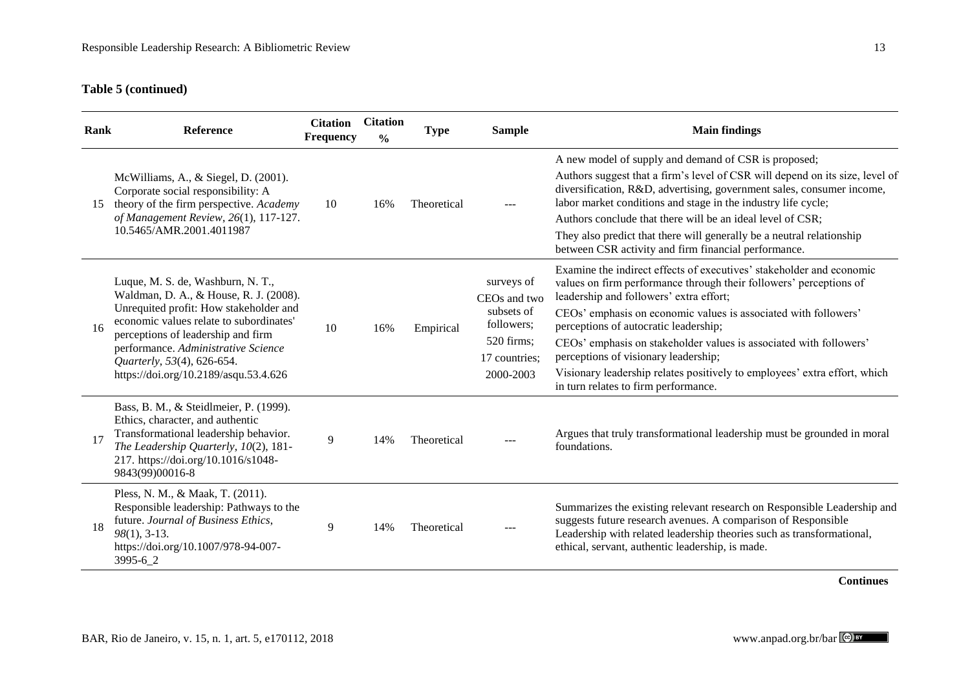| Rank | <b>Reference</b>                                                                                                                                                                                                                                                                                                     | <b>Citation</b><br><b>Frequency</b> | <b>Citation</b><br>$\frac{0}{0}$ | <b>Type</b> | <b>Sample</b>                                                                                                  | <b>Main findings</b>                                                                                                                                                                                                                                                                                                                                                                                                                                                                                                                 |
|------|----------------------------------------------------------------------------------------------------------------------------------------------------------------------------------------------------------------------------------------------------------------------------------------------------------------------|-------------------------------------|----------------------------------|-------------|----------------------------------------------------------------------------------------------------------------|--------------------------------------------------------------------------------------------------------------------------------------------------------------------------------------------------------------------------------------------------------------------------------------------------------------------------------------------------------------------------------------------------------------------------------------------------------------------------------------------------------------------------------------|
| 15   | McWilliams, A., & Siegel, D. (2001).<br>Corporate social responsibility: A<br>theory of the firm perspective. Academy<br>of Management Review, 26(1), 117-127.<br>10.5465/AMR.2001.4011987                                                                                                                           | 10                                  | 16%                              | Theoretical | $---$                                                                                                          | A new model of supply and demand of CSR is proposed;<br>Authors suggest that a firm's level of CSR will depend on its size, level of<br>diversification, R&D, advertising, government sales, consumer income,<br>labor market conditions and stage in the industry life cycle;<br>Authors conclude that there will be an ideal level of CSR;<br>They also predict that there will generally be a neutral relationship<br>between CSR activity and firm financial performance.                                                        |
| 16   | Luque, M. S. de, Washburn, N. T.,<br>Waldman, D. A., & House, R. J. (2008).<br>Unrequited profit: How stakeholder and<br>economic values relate to subordinates'<br>perceptions of leadership and firm<br>performance. Administrative Science<br>Quarterly, 53(4), 626-654.<br>https://doi.org/10.2189/asqu.53.4.626 | 10                                  | 16%                              | Empirical   | surveys of<br>CEO <sub>s</sub> and two<br>subsets of<br>followers;<br>520 firms;<br>17 countries:<br>2000-2003 | Examine the indirect effects of executives' stakeholder and economic<br>values on firm performance through their followers' perceptions of<br>leadership and followers' extra effort;<br>CEOs' emphasis on economic values is associated with followers'<br>perceptions of autocratic leadership;<br>CEOs' emphasis on stakeholder values is associated with followers'<br>perceptions of visionary leadership;<br>Visionary leadership relates positively to employees' extra effort, which<br>in turn relates to firm performance. |
| 17   | Bass, B. M., & Steidlmeier, P. (1999).<br>Ethics, character, and authentic<br>Transformational leadership behavior.<br>The Leadership Quarterly, 10(2), 181-<br>217. https://doi.org/10.1016/s1048-<br>9843(99)00016-8                                                                                               | 9                                   | 14%                              | Theoretical |                                                                                                                | Argues that truly transformational leadership must be grounded in moral<br>foundations.                                                                                                                                                                                                                                                                                                                                                                                                                                              |
| 18   | Pless, N. M., & Maak, T. (2011).<br>Responsible leadership: Pathways to the<br>future. Journal of Business Ethics,<br>$98(1)$ , 3-13.<br>https://doi.org/10.1007/978-94-007-<br>3995-6_2                                                                                                                             | 9                                   | 14%                              | Theoretical |                                                                                                                | Summarizes the existing relevant research on Responsible Leadership and<br>suggests future research avenues. A comparison of Responsible<br>Leadership with related leadership theories such as transformational,<br>ethical, servant, authentic leadership, is made.                                                                                                                                                                                                                                                                |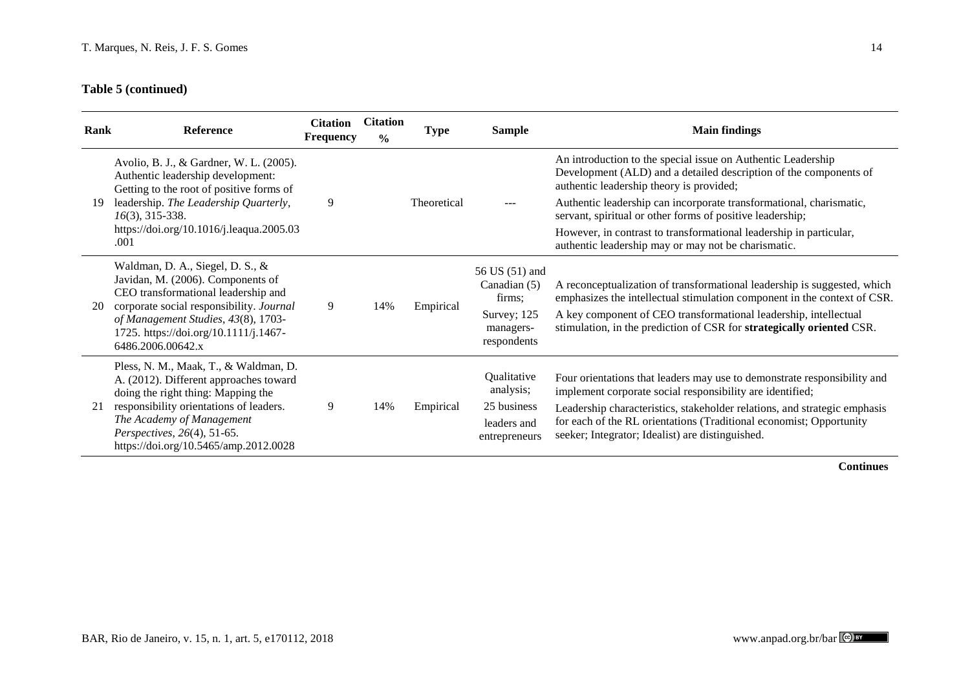| Rank | <b>Reference</b>                                                                                                                                                                                                                                                      | <b>Citation</b><br><b>Frequency</b> | <b>Citation</b><br>$\frac{0}{0}$ | <b>Type</b> | <b>Sample</b>                                                                       | <b>Main findings</b>                                                                                                                                                                                                                                                                                                                          |
|------|-----------------------------------------------------------------------------------------------------------------------------------------------------------------------------------------------------------------------------------------------------------------------|-------------------------------------|----------------------------------|-------------|-------------------------------------------------------------------------------------|-----------------------------------------------------------------------------------------------------------------------------------------------------------------------------------------------------------------------------------------------------------------------------------------------------------------------------------------------|
|      | Avolio, B. J., & Gardner, W. L. (2005).<br>Authentic leadership development:<br>Getting to the root of positive forms of                                                                                                                                              |                                     |                                  |             |                                                                                     | An introduction to the special issue on Authentic Leadership<br>Development (ALD) and a detailed description of the components of<br>authentic leadership theory is provided;                                                                                                                                                                 |
| -19  | leadership. The Leadership Quarterly,<br>$16(3)$ , 315-338.                                                                                                                                                                                                           | 9                                   |                                  | Theoretical |                                                                                     | Authentic leadership can incorporate transformational, charismatic,<br>servant, spiritual or other forms of positive leadership;                                                                                                                                                                                                              |
|      | https://doi.org/10.1016/j.leaqua.2005.03<br>.001                                                                                                                                                                                                                      |                                     |                                  |             |                                                                                     | However, in contrast to transformational leadership in particular,<br>authentic leadership may or may not be charismatic.                                                                                                                                                                                                                     |
| 20   | Waldman, D. A., Siegel, D. S., &<br>Javidan, M. (2006). Components of<br>CEO transformational leadership and<br>corporate social responsibility. Journal<br>of Management Studies, 43(8), 1703-<br>1725. https://doi.org/10.1111/j.1467-<br>6486.2006.00642.x         | 9                                   | 14%                              | Empirical   | 56 US (51) and<br>Canadian (5)<br>firms;<br>Survey; 125<br>managers-<br>respondents | A reconceptualization of transformational leadership is suggested, which<br>emphasizes the intellectual stimulation component in the context of CSR.<br>A key component of CEO transformational leadership, intellectual<br>stimulation, in the prediction of CSR for strategically oriented CSR.                                             |
| 21   | Pless, N. M., Maak, T., & Waldman, D.<br>A. (2012). Different approaches toward<br>doing the right thing: Mapping the<br>responsibility orientations of leaders.<br>The Academy of Management<br>Perspectives, 26(4), 51-65.<br>https://doi.org/10.5465/amp.2012.0028 | 9                                   | 14%                              | Empirical   | Qualitative<br>analysis;<br>25 business<br>leaders and<br>entrepreneurs             | Four orientations that leaders may use to demonstrate responsibility and<br>implement corporate social responsibility are identified;<br>Leadership characteristics, stakeholder relations, and strategic emphasis<br>for each of the RL orientations (Traditional economist; Opportunity<br>seeker; Integrator; Idealist) are distinguished. |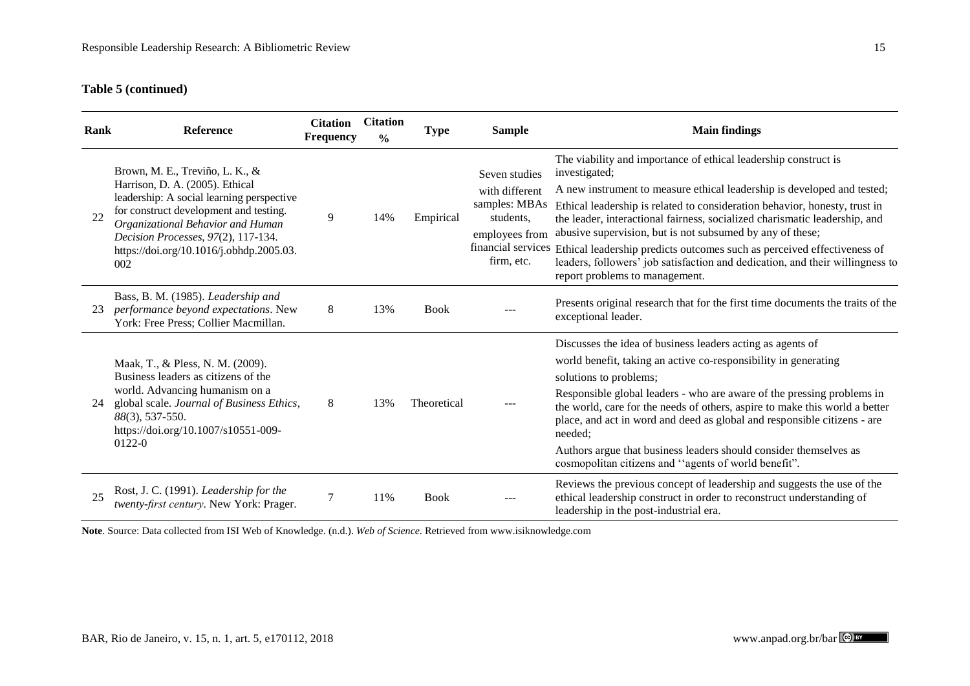| Rank | <b>Reference</b>                                                                                                                                                                                                                                                                            | <b>Citation</b><br><b>Frequency</b> | <b>Citation</b><br>$\frac{0}{0}$ | <b>Type</b> | <b>Sample</b>                                                                                 | <b>Main findings</b>                                                                                                                                                                                                                                                                                                                                                                                                                                                                                                                                                                                  |
|------|---------------------------------------------------------------------------------------------------------------------------------------------------------------------------------------------------------------------------------------------------------------------------------------------|-------------------------------------|----------------------------------|-------------|-----------------------------------------------------------------------------------------------|-------------------------------------------------------------------------------------------------------------------------------------------------------------------------------------------------------------------------------------------------------------------------------------------------------------------------------------------------------------------------------------------------------------------------------------------------------------------------------------------------------------------------------------------------------------------------------------------------------|
| 22   | Brown, M. E., Treviño, L. K., $\&$<br>Harrison, D. A. (2005). Ethical<br>leadership: A social learning perspective<br>for construct development and testing.<br>Organizational Behavior and Human<br>Decision Processes, 97(2), 117-134.<br>https://doi.org/10.1016/j.obhdp.2005.03.<br>002 | 9                                   | 14%                              | Empirical   | Seven studies<br>with different<br>samples: MBAs<br>students,<br>employees from<br>firm, etc. | The viability and importance of ethical leadership construct is<br>investigated;<br>A new instrument to measure ethical leadership is developed and tested;<br>Ethical leadership is related to consideration behavior, honesty, trust in<br>the leader, interactional fairness, socialized charismatic leadership, and<br>abusive supervision, but is not subsumed by any of these;<br>financial services Ethical leadership predicts outcomes such as perceived effectiveness of<br>leaders, followers' job satisfaction and dedication, and their willingness to<br>report problems to management. |
| 23   | Bass, B. M. (1985). Leadership and<br>performance beyond expectations. New<br>York: Free Press; Collier Macmillan.                                                                                                                                                                          | 8                                   | 13%                              | <b>Book</b> |                                                                                               | Presents original research that for the first time documents the traits of the<br>exceptional leader.                                                                                                                                                                                                                                                                                                                                                                                                                                                                                                 |
| 24   | Maak, T., & Pless, N. M. (2009).<br>Business leaders as citizens of the<br>world. Advancing humanism on a<br>global scale. Journal of Business Ethics,<br>88(3), 537-550.<br>https://doi.org/10.1007/s10551-009-<br>0122-0                                                                  | 8                                   | 13%                              | Theoretical |                                                                                               | Discusses the idea of business leaders acting as agents of<br>world benefit, taking an active co-responsibility in generating<br>solutions to problems;<br>Responsible global leaders - who are aware of the pressing problems in<br>the world, care for the needs of others, aspire to make this world a better<br>place, and act in word and deed as global and responsible citizens - are<br>needed;<br>Authors argue that business leaders should consider themselves as<br>cosmopolitan citizens and "agents of world benefit".                                                                  |
| 25   | Rost, J. C. (1991). Leadership for the<br>twenty-first century. New York: Prager.                                                                                                                                                                                                           | $\overline{7}$                      | 11%                              | <b>Book</b> |                                                                                               | Reviews the previous concept of leadership and suggests the use of the<br>ethical leadership construct in order to reconstruct understanding of<br>leadership in the post-industrial era.                                                                                                                                                                                                                                                                                                                                                                                                             |

**Note**. Source: Data collected from ISI Web of Knowledge. (n.d.). *Web of Science*. Retrieved from www.isiknowledge.com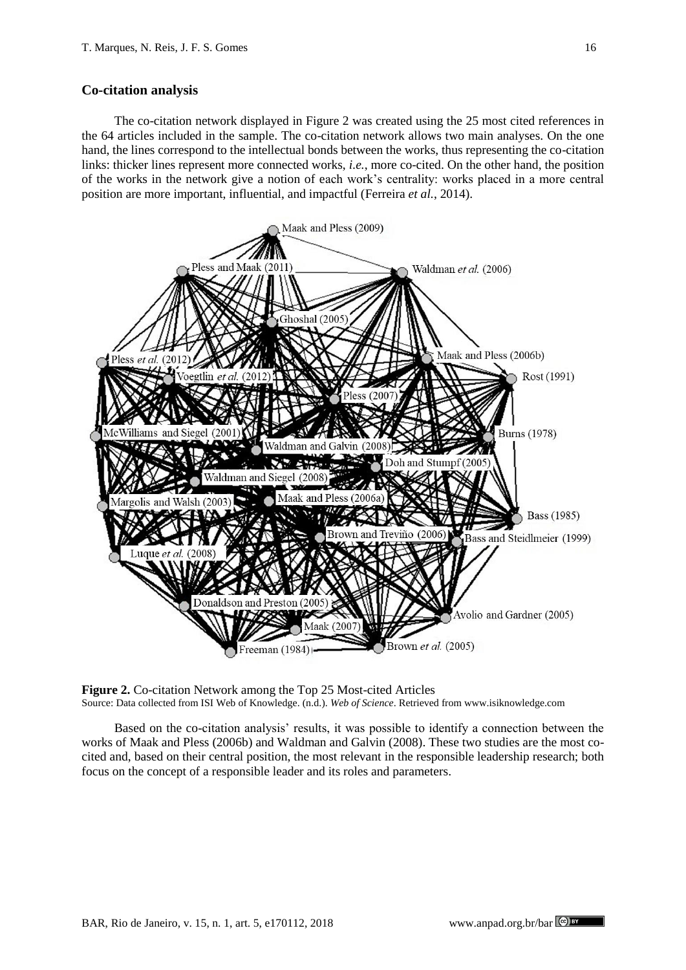#### **Co-citation analysis**

The co-citation network displayed in Figure 2 was created using the 25 most cited references in the 64 articles included in the sample. The co-citation network allows two main analyses. On the one hand, the lines correspond to the intellectual bonds between the works, thus representing the co-citation links: thicker lines represent more connected works, *i.e.*, more co-cited. On the other hand, the position of the works in the network give a notion of each work's centrality: works placed in a more central position are more important, influential, and impactful (Ferreira *et al.*, 2014).



**Figure 2.** Co-citation Network among the Top 25 Most-cited Articles Source: Data collected from ISI Web of Knowledge. (n.d.). *Web of Science*. Retrieved from www.isiknowledge.com

Based on the co-citation analysis' results, it was possible to identify a connection between the works of Maak and Pless (2006b) and Waldman and Galvin (2008). These two studies are the most cocited and, based on their central position, the most relevant in the responsible leadership research; both focus on the concept of a responsible leader and its roles and parameters.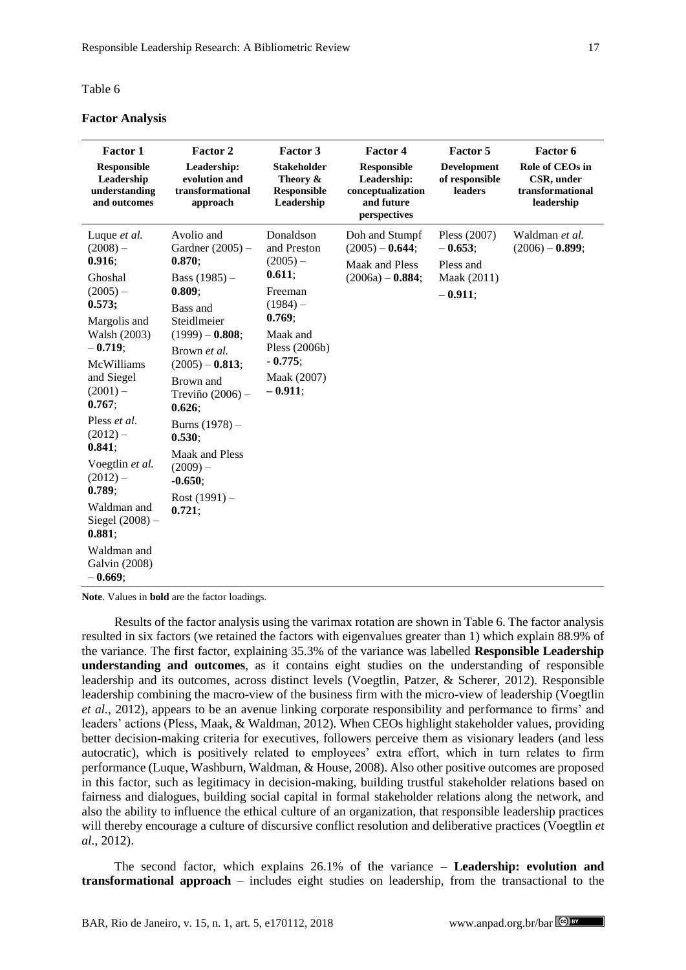#### **Factor Analysis**

| Factor 1<br><b>Responsible</b><br>Leadership<br>understanding<br>and outcomes                                                                                                                                                                                                                                                                          | Factor 2<br>Leadership:<br>evolution and<br>transformational<br>approach                                                                                                                                                                                                                                                 | Factor 3<br><b>Stakeholder</b><br>Theory &<br><b>Responsible</b><br>Leadership                                                                            | Factor 4<br><b>Responsible</b><br>Leadership:<br>conceptualization<br>and future<br>perspectives | Factor 5<br><b>Development</b><br>of responsible<br>leaders        | Factor 6<br>Role of CEOs in<br>CSR, under<br>transformational<br>leadership |
|--------------------------------------------------------------------------------------------------------------------------------------------------------------------------------------------------------------------------------------------------------------------------------------------------------------------------------------------------------|--------------------------------------------------------------------------------------------------------------------------------------------------------------------------------------------------------------------------------------------------------------------------------------------------------------------------|-----------------------------------------------------------------------------------------------------------------------------------------------------------|--------------------------------------------------------------------------------------------------|--------------------------------------------------------------------|-----------------------------------------------------------------------------|
| Luque et al.<br>$(2008) -$<br>0.916;<br>Ghoshal<br>$(2005) -$<br>0.573;<br>Margolis and<br>Walsh (2003)<br>$-0.719;$<br>McWilliams<br>and Siegel<br>$(2001) -$<br>0.767;<br>Pless et al.<br>$(2012) -$<br>0.841;<br>Voegtlin et al.<br>$(2012) -$<br>0.789;<br>Waldman and<br>Siegel $(2008)$ –<br>0.881;<br>Waldman and<br>Galvin (2008)<br>$-0.669;$ | Avolio and<br>Gardner $(2005)$ –<br>0.870;<br>Bass $(1985)$ –<br>0.809;<br>Bass and<br>Steidlmeier<br>$(1999) - 0.808;$<br>Brown et al.<br>$(2005) - 0.813;$<br>Brown and<br>Treviño $(2006)$ –<br>0.626;<br>Burns $(1978)$ –<br>0.530;<br><b>Maak and Pless</b><br>$(2009) -$<br>$-0.650;$<br>Rost $(1991)$ –<br>0.721; | Donaldson<br>and Preston<br>$(2005) -$<br>0.611;<br>Freeman<br>$(1984) -$<br>0.769;<br>Maak and<br>Pless (2006b)<br>$-0.775;$<br>Maak (2007)<br>$-0.911;$ | Doh and Stumpf<br>$(2005) - 0.644;$<br><b>Maak and Pless</b><br>$(2006a) - 0.884;$               | Pless (2007)<br>$-0.653;$<br>Pless and<br>Maak (2011)<br>$-0.911;$ | Waldman et al.<br>$(2006) - 0.899;$                                         |

**Note**. Values in **bold** are the factor loadings.

Results of the factor analysis using the varimax rotation are shown in Table 6. The factor analysis resulted in six factors (we retained the factors with eigenvalues greater than 1) which explain 88.9% of the variance. The first factor, explaining 35.3% of the variance was labelled **Responsible Leadership understanding and outcomes**, as it contains eight studies on the understanding of responsible leadership and its outcomes, across distinct levels (Voegtlin, Patzer, & Scherer, 2012). Responsible leadership combining the macro-view of the business firm with the micro-view of leadership (Voegtlin *et al.*, 2012), appears to be an avenue linking corporate responsibility and performance to firms' and leaders' actions (Pless, Maak, & Waldman, 2012). When CEOs highlight stakeholder values, providing better decision-making criteria for executives, followers perceive them as visionary leaders (and less autocratic), which is positively related to employees' extra effort, which in turn relates to firm performance (Luque, Washburn, Waldman, & House, 2008). Also other positive outcomes are proposed in this factor, such as legitimacy in decision-making, building trustful stakeholder relations based on fairness and dialogues, building social capital in formal stakeholder relations along the network, and also the ability to influence the ethical culture of an organization, that responsible leadership practices will thereby encourage a culture of discursive conflict resolution and deliberative practices (Voegtlin *et al.*, 2012).

The second factor, which explains 26.1% of the variance – **Leadership: evolution and transformational approach** – includes eight studies on leadership, from the transactional to the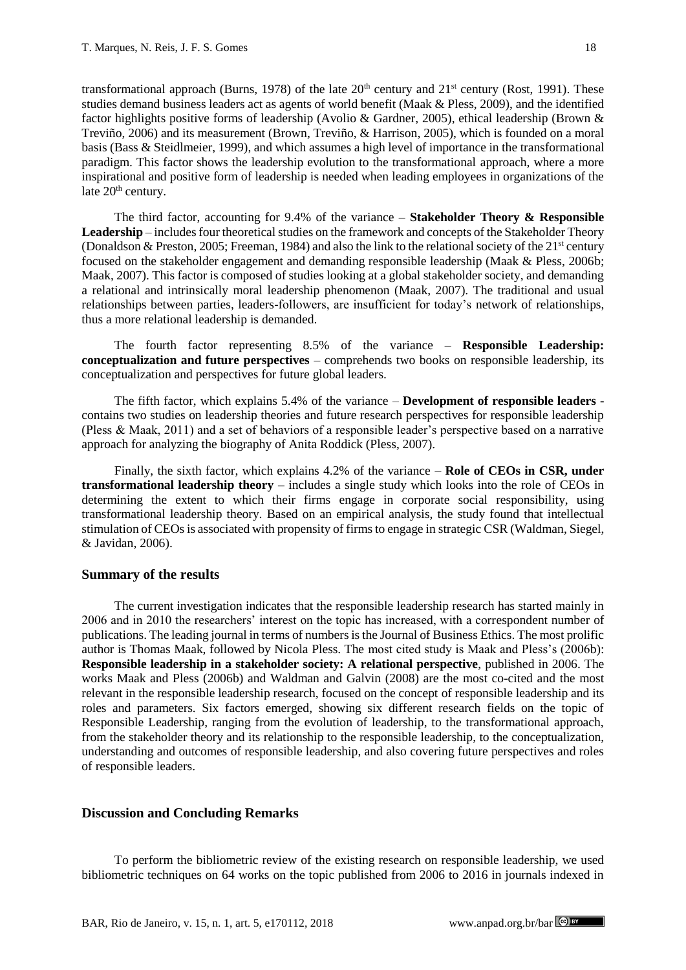transformational approach (Burns, 1978) of the late  $20<sup>th</sup>$  century and  $21<sup>st</sup>$  century (Rost, 1991). These studies demand business leaders act as agents of world benefit (Maak & Pless, 2009), and the identified factor highlights positive forms of leadership (Avolio & Gardner, 2005), ethical leadership (Brown & Treviño, 2006) and its measurement (Brown, Treviño, & Harrison, 2005), which is founded on a moral basis (Bass & Steidlmeier, 1999), and which assumes a high level of importance in the transformational paradigm. This factor shows the leadership evolution to the transformational approach, where a more inspirational and positive form of leadership is needed when leading employees in organizations of the late  $20<sup>th</sup>$  century.

The third factor, accounting for 9.4% of the variance – **Stakeholder Theory & Responsible Leadership** – includes four theoretical studies on the framework and concepts of the Stakeholder Theory (Donaldson & Preston, 2005; Freeman, 1984) and also the link to the relational society of the  $21<sup>st</sup>$  century focused on the stakeholder engagement and demanding responsible leadership (Maak & Pless, 2006b; Maak, 2007). This factor is composed of studies looking at a global stakeholder society, and demanding a relational and intrinsically moral leadership phenomenon (Maak, 2007). The traditional and usual relationships between parties, leaders-followers, are insufficient for today's network of relationships, thus a more relational leadership is demanded.

The fourth factor representing 8.5% of the variance – **Responsible Leadership: conceptualization and future perspectives** – comprehends two books on responsible leadership, its conceptualization and perspectives for future global leaders.

The fifth factor, which explains 5.4% of the variance – **Development of responsible leaders**  contains two studies on leadership theories and future research perspectives for responsible leadership (Pless & Maak, 2011) and a set of behaviors of a responsible leader's perspective based on a narrative approach for analyzing the biography of Anita Roddick (Pless, 2007).

Finally, the sixth factor, which explains 4.2% of the variance – **Role of CEOs in CSR, under transformational leadership theory –** includes a single study which looks into the role of CEOs in determining the extent to which their firms engage in corporate social responsibility, using transformational leadership theory. Based on an empirical analysis, the study found that intellectual stimulation of CEOs is associated with propensity of firms to engage in strategic CSR (Waldman, Siegel, & Javidan, 2006).

#### **Summary of the results**

The current investigation indicates that the responsible leadership research has started mainly in 2006 and in 2010 the researchers' interest on the topic has increased, with a correspondent number of publications. The leading journal in terms of numbers is the Journal of Business Ethics. The most prolific author is Thomas Maak, followed by Nicola Pless. The most cited study is Maak and Pless's (2006b): **Responsible leadership in a stakeholder society: A relational perspective**, published in 2006. The works Maak and Pless (2006b) and Waldman and Galvin (2008) are the most co-cited and the most relevant in the responsible leadership research, focused on the concept of responsible leadership and its roles and parameters. Six factors emerged, showing six different research fields on the topic of Responsible Leadership, ranging from the evolution of leadership, to the transformational approach, from the stakeholder theory and its relationship to the responsible leadership, to the conceptualization, understanding and outcomes of responsible leadership, and also covering future perspectives and roles of responsible leaders.

### **Discussion and Concluding Remarks**

To perform the bibliometric review of the existing research on responsible leadership, we used bibliometric techniques on 64 works on the topic published from 2006 to 2016 in journals indexed in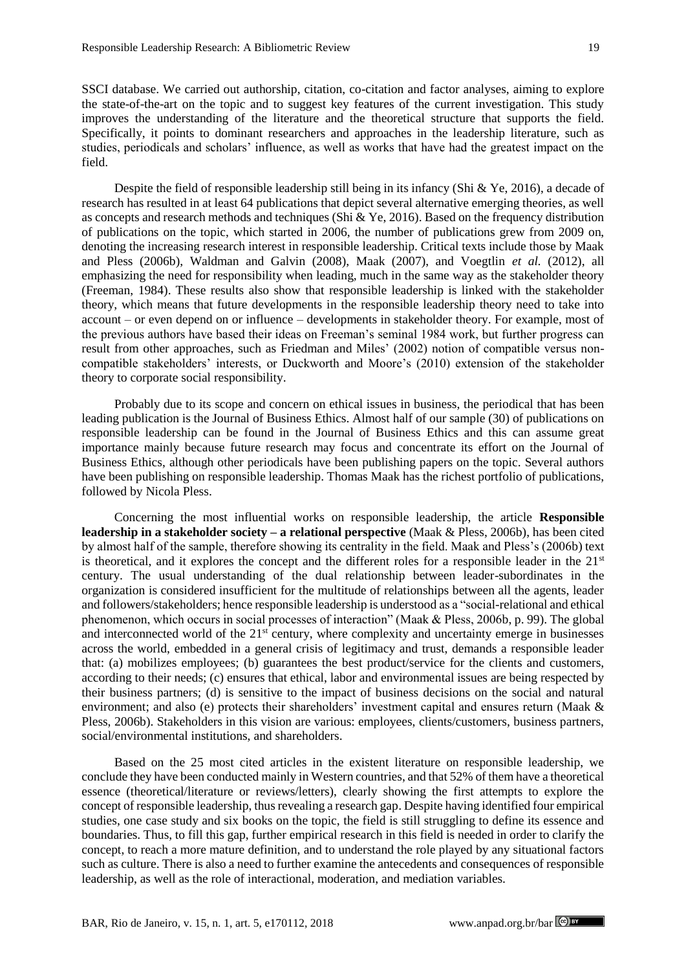SSCI database. We carried out authorship, citation, co-citation and factor analyses, aiming to explore the state-of-the-art on the topic and to suggest key features of the current investigation. This study improves the understanding of the literature and the theoretical structure that supports the field. Specifically, it points to dominant researchers and approaches in the leadership literature, such as studies, periodicals and scholars' influence, as well as works that have had the greatest impact on the field.

Despite the field of responsible leadership still being in its infancy (Shi & Ye, 2016), a decade of research has resulted in at least 64 publications that depict several alternative emerging theories, as well as concepts and research methods and techniques (Shi & Ye, 2016). Based on the frequency distribution of publications on the topic, which started in 2006, the number of publications grew from 2009 on, denoting the increasing research interest in responsible leadership. Critical texts include those by Maak and Pless (2006b), Waldman and Galvin (2008), Maak (2007), and Voegtlin *et al.* (2012), all emphasizing the need for responsibility when leading, much in the same way as the stakeholder theory (Freeman, 1984). These results also show that responsible leadership is linked with the stakeholder theory, which means that future developments in the responsible leadership theory need to take into account – or even depend on or influence – developments in stakeholder theory. For example, most of the previous authors have based their ideas on Freeman's seminal 1984 work, but further progress can result from other approaches, such as Friedman and Miles' (2002) notion of compatible versus noncompatible stakeholders' interests, or Duckworth and Moore's (2010) extension of the stakeholder theory to corporate social responsibility.

Probably due to its scope and concern on ethical issues in business, the periodical that has been leading publication is the Journal of Business Ethics. Almost half of our sample (30) of publications on responsible leadership can be found in the Journal of Business Ethics and this can assume great importance mainly because future research may focus and concentrate its effort on the Journal of Business Ethics, although other periodicals have been publishing papers on the topic. Several authors have been publishing on responsible leadership. Thomas Maak has the richest portfolio of publications, followed by Nicola Pless.

Concerning the most influential works on responsible leadership, the article **Responsible leadership in a stakeholder society – a relational perspective** (Maak & Pless, 2006b), has been cited by almost half of the sample, therefore showing its centrality in the field. Maak and Pless's (2006b) text is theoretical, and it explores the concept and the different roles for a responsible leader in the  $21<sup>st</sup>$ century. The usual understanding of the dual relationship between leader-subordinates in the organization is considered insufficient for the multitude of relationships between all the agents, leader and followers/stakeholders; hence responsible leadership is understood as a "social-relational and ethical phenomenon, which occurs in social processes of interaction" (Maak & Pless, 2006b, p. 99). The global and interconnected world of the 21<sup>st</sup> century, where complexity and uncertainty emerge in businesses across the world, embedded in a general crisis of legitimacy and trust, demands a responsible leader that: (a) mobilizes employees; (b) guarantees the best product/service for the clients and customers, according to their needs; (c) ensures that ethical, labor and environmental issues are being respected by their business partners; (d) is sensitive to the impact of business decisions on the social and natural environment; and also (e) protects their shareholders' investment capital and ensures return (Maak & Pless, 2006b). Stakeholders in this vision are various: employees, clients/customers, business partners, social/environmental institutions, and shareholders.

Based on the 25 most cited articles in the existent literature on responsible leadership, we conclude they have been conducted mainly in Western countries, and that 52% of them have a theoretical essence (theoretical/literature or reviews/letters), clearly showing the first attempts to explore the concept of responsible leadership, thus revealing a research gap. Despite having identified four empirical studies, one case study and six books on the topic, the field is still struggling to define its essence and boundaries. Thus, to fill this gap, further empirical research in this field is needed in order to clarify the concept, to reach a more mature definition, and to understand the role played by any situational factors such as culture. There is also a need to further examine the antecedents and consequences of responsible leadership, as well as the role of interactional, moderation, and mediation variables.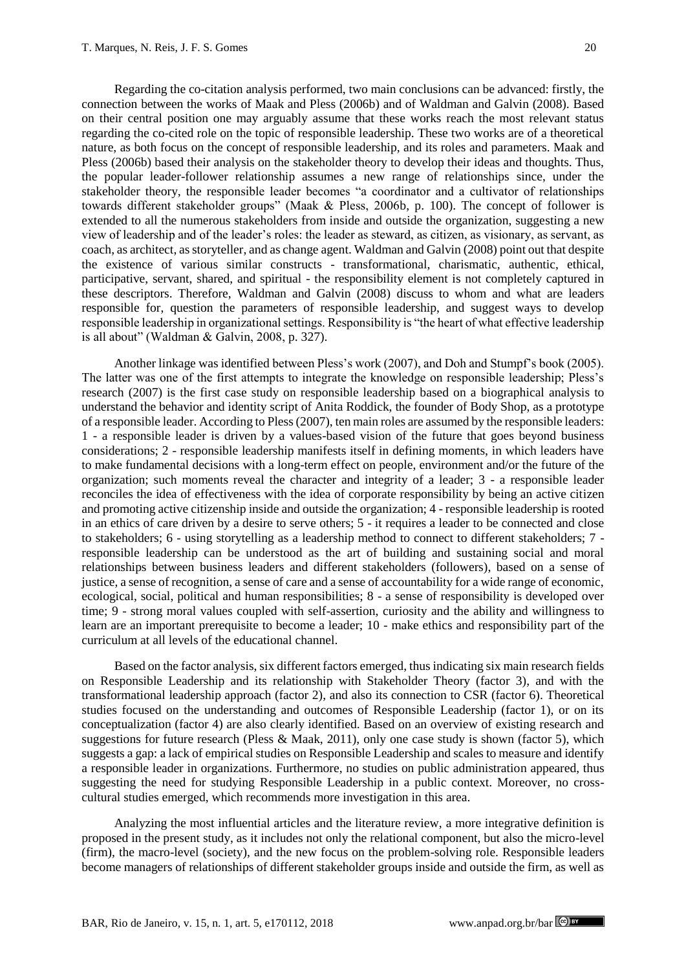Regarding the co-citation analysis performed, two main conclusions can be advanced: firstly, the connection between the works of Maak and Pless (2006b) and of Waldman and Galvin (2008). Based on their central position one may arguably assume that these works reach the most relevant status regarding the co-cited role on the topic of responsible leadership. These two works are of a theoretical nature, as both focus on the concept of responsible leadership, and its roles and parameters. Maak and Pless (2006b) based their analysis on the stakeholder theory to develop their ideas and thoughts. Thus, the popular leader-follower relationship assumes a new range of relationships since, under the stakeholder theory, the responsible leader becomes "a coordinator and a cultivator of relationships towards different stakeholder groups" (Maak & Pless, 2006b, p. 100). The concept of follower is extended to all the numerous stakeholders from inside and outside the organization, suggesting a new view of leadership and of the leader's roles: the leader as steward, as citizen, as visionary, as servant, as coach, as architect, as storyteller, and as change agent. Waldman and Galvin (2008) point out that despite the existence of various similar constructs - transformational, charismatic, authentic, ethical, participative, servant, shared, and spiritual - the responsibility element is not completely captured in these descriptors. Therefore, Waldman and Galvin (2008) discuss to whom and what are leaders responsible for, question the parameters of responsible leadership, and suggest ways to develop responsible leadership in organizational settings. Responsibility is "the heart of what effective leadership is all about" (Waldman & Galvin, 2008, p. 327).

Another linkage was identified between Pless's work (2007), and Doh and Stumpf's book (2005). The latter was one of the first attempts to integrate the knowledge on responsible leadership; Pless's research (2007) is the first case study on responsible leadership based on a biographical analysis to understand the behavior and identity script of Anita Roddick, the founder of Body Shop, as a prototype of a responsible leader. According to Pless (2007), ten main roles are assumed by the responsible leaders: 1 - a responsible leader is driven by a values-based vision of the future that goes beyond business considerations; 2 - responsible leadership manifests itself in defining moments, in which leaders have to make fundamental decisions with a long-term effect on people, environment and/or the future of the organization; such moments reveal the character and integrity of a leader; 3 - a responsible leader reconciles the idea of effectiveness with the idea of corporate responsibility by being an active citizen and promoting active citizenship inside and outside the organization; 4 - responsible leadership is rooted in an ethics of care driven by a desire to serve others; 5 - it requires a leader to be connected and close to stakeholders; 6 - using storytelling as a leadership method to connect to different stakeholders; 7 responsible leadership can be understood as the art of building and sustaining social and moral relationships between business leaders and different stakeholders (followers), based on a sense of justice, a sense of recognition, a sense of care and a sense of accountability for a wide range of economic, ecological, social, political and human responsibilities; 8 - a sense of responsibility is developed over time; 9 - strong moral values coupled with self-assertion, curiosity and the ability and willingness to learn are an important prerequisite to become a leader; 10 - make ethics and responsibility part of the curriculum at all levels of the educational channel.

Based on the factor analysis, six different factors emerged, thus indicating six main research fields on Responsible Leadership and its relationship with Stakeholder Theory (factor 3), and with the transformational leadership approach (factor 2), and also its connection to CSR (factor 6). Theoretical studies focused on the understanding and outcomes of Responsible Leadership (factor 1), or on its conceptualization (factor 4) are also clearly identified. Based on an overview of existing research and suggestions for future research (Pless & Maak, 2011), only one case study is shown (factor 5), which suggests a gap: a lack of empirical studies on Responsible Leadership and scales to measure and identify a responsible leader in organizations. Furthermore, no studies on public administration appeared, thus suggesting the need for studying Responsible Leadership in a public context. Moreover, no crosscultural studies emerged, which recommends more investigation in this area.

Analyzing the most influential articles and the literature review, a more integrative definition is proposed in the present study, as it includes not only the relational component, but also the micro-level (firm), the macro-level (society), and the new focus on the problem-solving role. Responsible leaders become managers of relationships of different stakeholder groups inside and outside the firm, as well as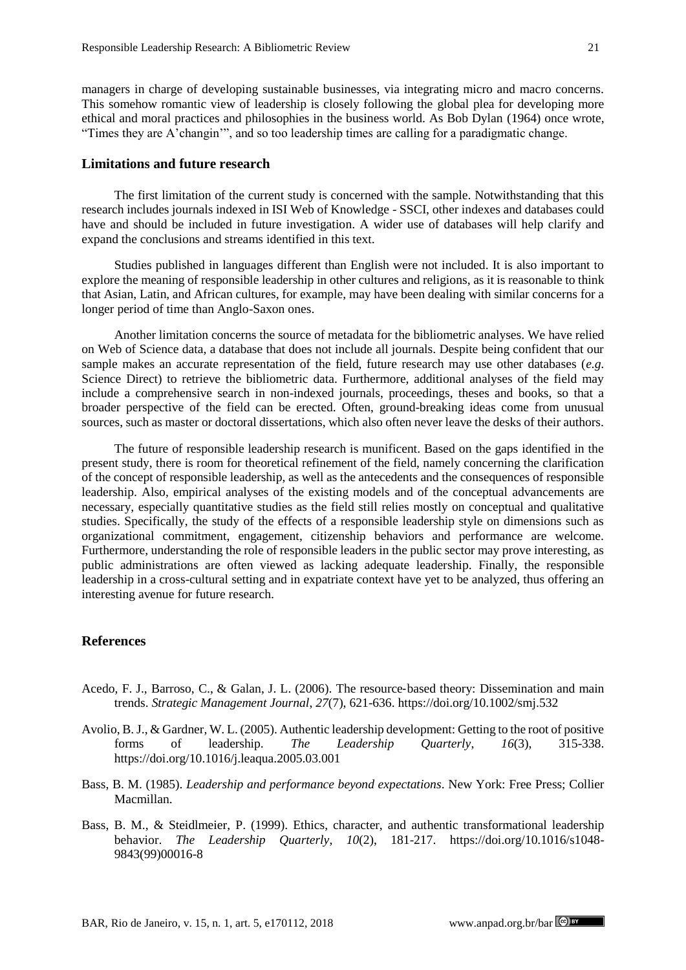managers in charge of developing sustainable businesses, via integrating micro and macro concerns. This somehow romantic view of leadership is closely following the global plea for developing more ethical and moral practices and philosophies in the business world. As Bob Dylan (1964) once wrote, "Times they are A'changin'", and so too leadership times are calling for a paradigmatic change.

#### **Limitations and future research**

The first limitation of the current study is concerned with the sample. Notwithstanding that this research includes journals indexed in ISI Web of Knowledge - SSCI, other indexes and databases could have and should be included in future investigation. A wider use of databases will help clarify and expand the conclusions and streams identified in this text.

Studies published in languages different than English were not included. It is also important to explore the meaning of responsible leadership in other cultures and religions, as it is reasonable to think that Asian, Latin, and African cultures, for example, may have been dealing with similar concerns for a longer period of time than Anglo-Saxon ones.

Another limitation concerns the source of metadata for the bibliometric analyses. We have relied on Web of Science data, a database that does not include all journals. Despite being confident that our sample makes an accurate representation of the field, future research may use other databases (*e.g.* Science Direct) to retrieve the bibliometric data. Furthermore, additional analyses of the field may include a comprehensive search in non-indexed journals, proceedings, theses and books, so that a broader perspective of the field can be erected. Often, ground-breaking ideas come from unusual sources, such as master or doctoral dissertations, which also often never leave the desks of their authors.

The future of responsible leadership research is munificent. Based on the gaps identified in the present study, there is room for theoretical refinement of the field, namely concerning the clarification of the concept of responsible leadership, as well as the antecedents and the consequences of responsible leadership. Also, empirical analyses of the existing models and of the conceptual advancements are necessary, especially quantitative studies as the field still relies mostly on conceptual and qualitative studies. Specifically, the study of the effects of a responsible leadership style on dimensions such as organizational commitment, engagement, citizenship behaviors and performance are welcome. Furthermore, understanding the role of responsible leaders in the public sector may prove interesting, as public administrations are often viewed as lacking adequate leadership. Finally, the responsible leadership in a cross-cultural setting and in expatriate context have yet to be analyzed, thus offering an interesting avenue for future research.

### **References**

- Acedo, F. J., Barroso, C., & Galan, J. L. (2006). The resource-based theory: Dissemination and main trends. *Strategic Management Journal*, *27*(7), 621-636. https://doi.org/10.1002/smj.532
- Avolio, B. J., & Gardner, W. L. (2005). Authentic leadership development: Getting to the root of positive forms of leadership. *The Leadership Quarterly*, *16*(3), 315-338. https://doi.org/10.1016/j.leaqua.2005.03.001
- Bass, B. M. (1985). *Leadership and performance beyond expectations*. New York: Free Press; Collier Macmillan.
- Bass, B. M., & Steidlmeier, P. (1999). Ethics, character, and authentic transformational leadership behavior. *The Leadership Quarterly*, *10*(2), 181-217. https://doi.org/10.1016/s1048- 9843(99)00016-8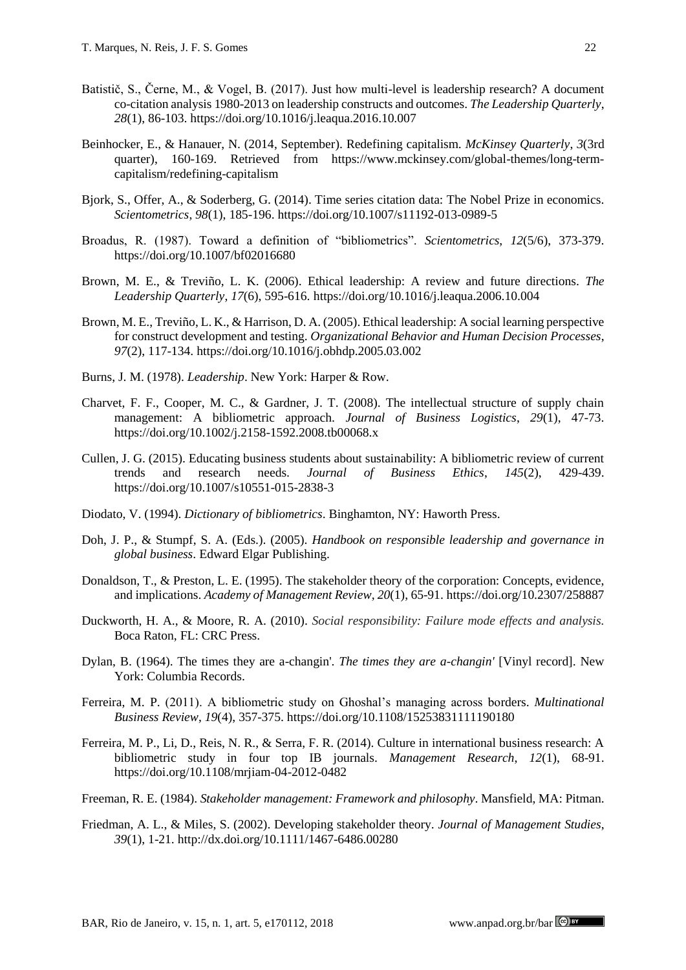- Batistič, S., Černe, M., & Vogel, B. (2017). Just how multi-level is leadership research? A document co-citation analysis 1980-2013 on leadership constructs and outcomes. *The Leadership Quarterly*, *28*(1), 86-103. https://doi.org/10.1016/j.leaqua.2016.10.007
- Beinhocker, E., & Hanauer, N. (2014, September). Redefining capitalism. *McKinsey Quarterly*, *3*(3rd quarter), 160-169. Retrieved from https://www.mckinsey.com/global-themes/long-termcapitalism/redefining-capitalism
- Bjork, S., Offer, A., & Soderberg, G. (2014). Time series citation data: The Nobel Prize in economics. *Scientometrics*, *98*(1), 185-196. https://doi.org/10.1007/s11192-013-0989-5
- Broadus, R. (1987). Toward a definition of "bibliometrics". *Scientometrics*, *12*(5/6), 373-379. https://doi.org/10.1007/bf02016680
- Brown, M. E., & Treviño, L. K. (2006). Ethical leadership: A review and future directions. *The Leadership Quarterly*, *17*(6), 595-616. https://doi.org/10.1016/j.leaqua.2006.10.004
- Brown, M. E., Treviño, L. K., & Harrison, D. A. (2005). Ethical leadership: A social learning perspective for construct development and testing. *Organizational Behavior and Human Decision Processes*, *97*(2), 117-134. https://doi.org/10.1016/j.obhdp.2005.03.002
- Burns, J. M. (1978). *Leadership*. New York: Harper & Row.
- Charvet, F. F., Cooper, M. C., & Gardner, J. T. (2008). The intellectual structure of supply chain management: A bibliometric approach. *Journal of Business Logistics*, *29*(1), 47-73. https://doi.org/10.1002/j.2158-1592.2008.tb00068.x
- Cullen, J. G. (2015). Educating business students about sustainability: A bibliometric review of current trends and research needs*. Journal of Business Ethics*, *145*(2), 429-439. https://doi.org/10.1007/s10551-015-2838-3
- Diodato, V. (1994). *Dictionary of bibliometrics*. Binghamton, NY: Haworth Press.
- Doh, J. P., & Stumpf, S. A. (Eds.). (2005). *Handbook on responsible leadership and governance in global business*. Edward Elgar Publishing.
- Donaldson, T., & Preston, L. E. (1995). The stakeholder theory of the corporation: Concepts, evidence, and implications. *Academy of Management Review*, *20*(1), 65-91. https://doi.org/10.2307/258887
- Duckworth, H. A., & Moore, R. A. (2010). *[Social responsibility: Failure mode effects and analysis.](https://books.google.com/books?isbn=1439803749)* Boca Raton, FL: CRC Press.
- Dylan, B. (1964). The times they are a-changin'. *The times they are a-changin'* [Vinyl record]. New York: Columbia Records.
- Ferreira, M. P. (2011). A bibliometric study on Ghoshal's managing across borders. *Multinational Business Review*, *19*(4), 357-375. https://doi.org/10.1108/15253831111190180
- Ferreira, M. P., Li, D., Reis, N. R., & Serra, F. R. (2014). Culture in international business research: A bibliometric study in four top IB journals. *Management Research*, *12*(1), 68-91. https://doi.org/10.1108/mrjiam-04-2012-0482
- Freeman, R. E. (1984). *Stakeholder management: Framework and philosophy*. Mansfield, MA: Pitman.
- Friedman, A. L., & Miles, S. (2002). Developing stakeholder theory. *Journal of Management Studies*, *39*(1), 1-21. http://dx.doi.org/10.1111/1467-6486.00280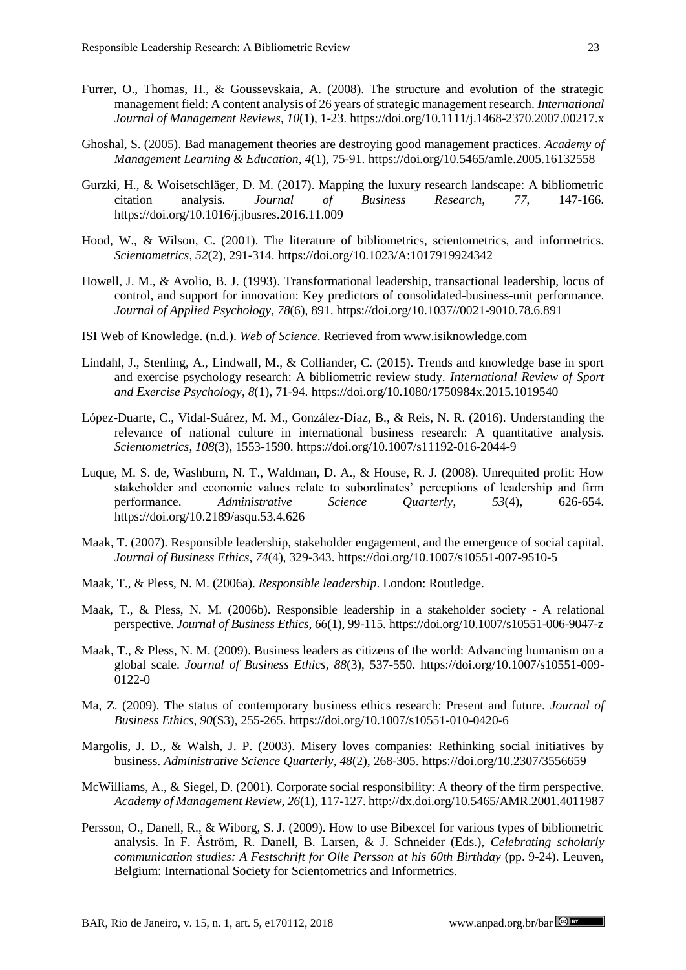- Furrer, O., Thomas, H., & Goussevskaia, A. (2008). The structure and evolution of the strategic management field: A content analysis of 26 years of strategic management research. *International Journal of Management Reviews*, *10*(1), 1-23. https://doi.org/10.1111/j.1468-2370.2007.00217.x
- Ghoshal, S. (2005). Bad management theories are destroying good management practices. *Academy of Management Learning & Education*, *4*(1), 75-91. https://doi.org/10.5465/amle.2005.16132558
- Gurzki, H., & Woisetschläger, D. M. (2017). Mapping the luxury research landscape: A bibliometric citation analysis. *Journal of Business Research*, *77*, 147-166. https://doi.org/10.1016/j.jbusres.2016.11.009
- Hood, W., & Wilson, C. (2001). The literature of bibliometrics, scientometrics, and informetrics. *Scientometrics*, *52*(2), 291-314. https://doi.org/10.1023/A:1017919924342
- Howell, J. M., & Avolio, B. J. (1993). Transformational leadership, transactional leadership, locus of control, and support for innovation: Key predictors of consolidated-business-unit performance. *Journal of Applied Psychology*, *78*(6), 891. https://doi.org/10.1037//0021-9010.78.6.891
- ISI Web of Knowledge. (n.d.). *Web of Science*. Retrieved from www.isiknowledge.com
- Lindahl, J., Stenling, A., Lindwall, M., & Colliander, C. (2015). Trends and knowledge base in sport and exercise psychology research: A bibliometric review study. *International Review of Sport and Exercise Psychology*, *8*(1), 71-94. https://doi.org/10.1080/1750984x.2015.1019540
- López-Duarte, C., Vidal-Suárez, M. M., González-Díaz, B., & Reis, N. R. (2016). Understanding the relevance of national culture in international business research: A quantitative analysis. *Scientometrics*, *108*(3), 1553-1590. https://doi.org/10.1007/s11192-016-2044-9
- Luque, M. S. de, Washburn, N. T., Waldman, D. A., & House, R. J. (2008). Unrequited profit: How stakeholder and economic values relate to subordinates' perceptions of leadership and firm performance. *Administrative Science Quarterly*, *53*(4), 626-654. https://doi.org/10.2189/asqu.53.4.626
- Maak, T. (2007). Responsible leadership, stakeholder engagement, and the emergence of social capital. *Journal of Business Ethics*, *74*(4), 329-343. https://doi.org/10.1007/s10551-007-9510-5
- Maak, T., & Pless, N. M. (2006a). *Responsible leadership*. London: Routledge.
- Maak, T., & Pless, N. M. (2006b). Responsible leadership in a stakeholder society A relational perspective. *Journal of Business Ethics*, *66*(1), 99-115. https://doi.org/10.1007/s10551-006-9047-z
- Maak, T., & Pless, N. M. (2009). Business leaders as citizens of the world: Advancing humanism on a global scale. *Journal of Business Ethics*, *88*(3), 537-550. https://doi.org/10.1007/s10551-009- 0122-0
- Ma, Z. (2009). The status of contemporary business ethics research: Present and future. *Journal of Business Ethics*, *90*(S3), 255-265. https://doi.org/10.1007/s10551-010-0420-6
- Margolis, J. D., & Walsh, J. P. (2003). Misery loves companies: Rethinking social initiatives by business. *Administrative Science Quarterly*, *48*(2), 268-305. https://doi.org/10.2307/3556659
- McWilliams, A., & Siegel, D. (2001). Corporate social responsibility: A theory of the firm perspective. *Academy of Management Review*, *26*(1), 117-127. http://dx.doi.org/10.5465/AMR.2001.4011987
- Persson, O., Danell, R., & Wiborg, S. J. (2009). How to use Bibexcel for various types of bibliometric analysis. In F. Åström, R. Danell, B. Larsen, & J. Schneider (Eds.), *Celebrating scholarly communication studies: A Festschrift for Olle Persson at his 60th Birthday* (pp. 9-24). Leuven, Belgium: International Society for Scientometrics and Informetrics.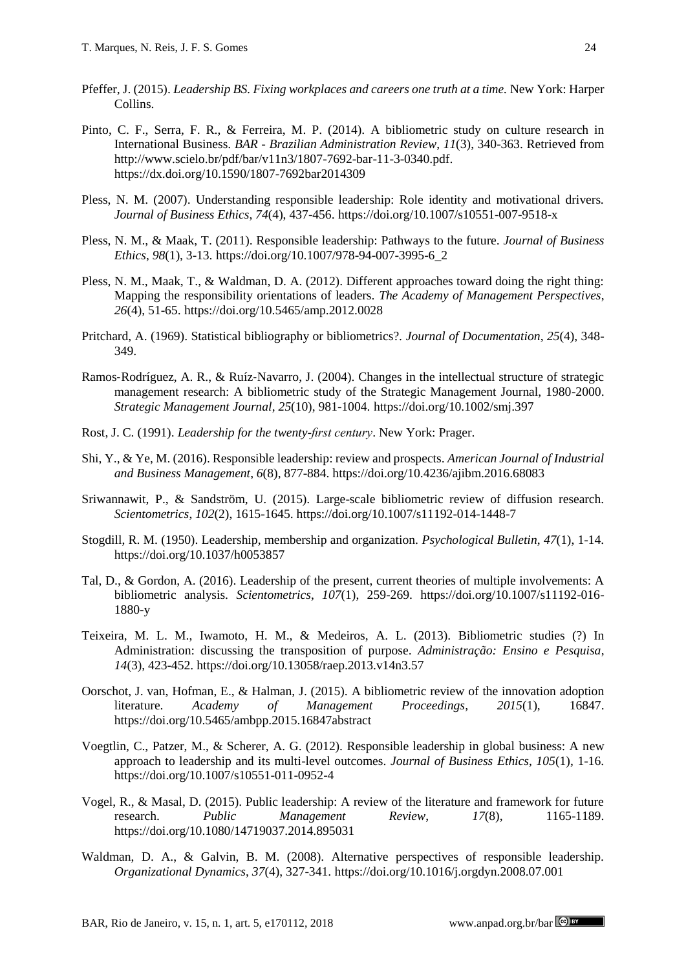- Pfeffer, J. (2015). *Leadership BS. Fixing workplaces and careers one truth at a time.* New York: Harper Collins.
- Pinto, C. F., Serra, F. R., & Ferreira, M. P. (2014). A bibliometric study on culture research in International Business. *BAR - Brazilian Administration Review*, *11*(3), 340-363. Retrieved from http://www.scielo.br/pdf/bar/v11n3/1807-7692-bar-11-3-0340.pdf. https://dx.doi.org/10.1590/1807-7692bar2014309
- Pless, N. M. (2007). Understanding responsible leadership: Role identity and motivational drivers. *Journal of Business Ethics*, *74*(4), 437-456. https://doi.org/10.1007/s10551-007-9518-x
- Pless, N. M., & Maak, T. (2011). Responsible leadership: Pathways to the future. *Journal of Business Ethics*, *98*(1), 3-13. https://doi.org/10.1007/978-94-007-3995-6\_2
- Pless, N. M., Maak, T., & Waldman, D. A. (2012). Different approaches toward doing the right thing: Mapping the responsibility orientations of leaders. *The Academy of Management Perspectives*, *26*(4), 51-65. https://doi.org/10.5465/amp.2012.0028
- Pritchard, A. (1969). Statistical bibliography or bibliometrics?. *Journal of Documentation*, *25*(4), 348- 349.
- Ramos‐Rodríguez, A. R., & Ruíz‐Navarro, J. (2004). Changes in the intellectual structure of strategic management research: A bibliometric study of the Strategic Management Journal, 1980-2000. *Strategic Management Journal*, *25*(10), 981-1004. https://doi.org/10.1002/smj.397
- Rost, J. C. (1991). *Leadership for the twenty-first century*. New York: Prager.
- Shi, Y., & Ye, M. (2016). Responsible leadership: review and prospects. *American Journal of Industrial and Business Management*, *6*(8), 877-884. https://doi.org/10.4236/ajibm.2016.68083
- Sriwannawit, P., & Sandström, U. (2015). Large-scale bibliometric review of diffusion research. *Scientometrics*, *102*(2), 1615-1645. https://doi.org/10.1007/s11192-014-1448-7
- Stogdill, R. M. (1950). Leadership, membership and organization. *Psychological Bulletin*, *47*(1), 1-14. https://doi.org/10.1037/h0053857
- Tal, D., & Gordon, A. (2016). Leadership of the present, current theories of multiple involvements: A bibliometric analysis. *Scientometrics*, *107*(1), 259-269. https://doi.org/10.1007/s11192-016- 1880-y
- Teixeira, M. L. M., Iwamoto, H. M., & Medeiros, A. L. (2013). Bibliometric studies (?) In Administration: discussing the transposition of purpose. *Administração: Ensino e Pesquisa*, *14*(3), 423-452. https://doi.org/10.13058/raep.2013.v14n3.57
- Oorschot, J. van, Hofman, E., & Halman, J. (2015). A bibliometric review of the innovation adoption literature. *Academy of Management Proceedings, 2015*(1), 16847. https://doi.org/10.5465/ambpp.2015.16847abstract
- Voegtlin, C., Patzer, M., & Scherer, A. G. (2012). Responsible leadership in global business: A new approach to leadership and its multi-level outcomes. *Journal of Business Ethics*, *105*(1), 1-16. https://doi.org/10.1007/s10551-011-0952-4
- Vogel, R., & Masal, D. (2015). Public leadership: A review of the literature and framework for future research. *Public Management Review*, *17*(8), 1165-1189. https://doi.org/10.1080/14719037.2014.895031
- Waldman, D. A., & Galvin, B. M. (2008). Alternative perspectives of responsible leadership. *Organizational Dynamics*, *37*(4), 327-341. https://doi.org/10.1016/j.orgdyn.2008.07.001